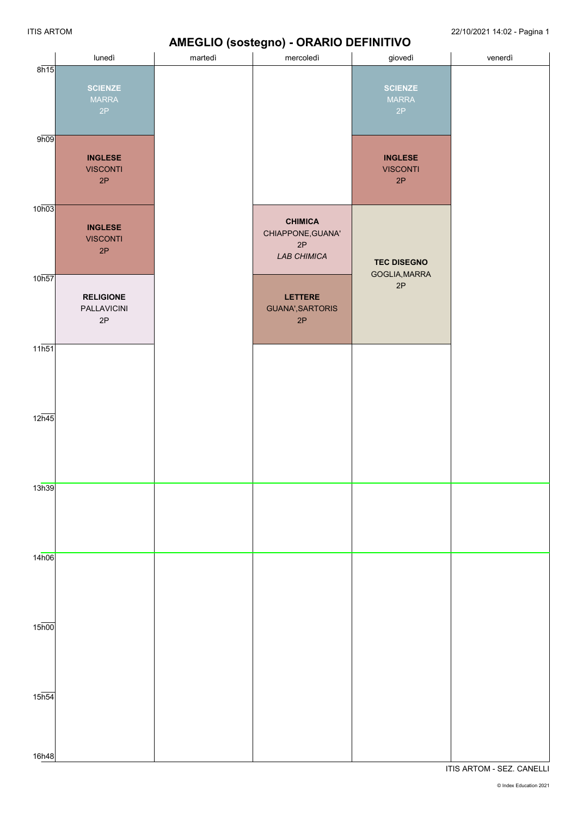#### **AMEGLIO (sostegno) - ORARIO DEFINITIVO**

|                    |                                                  |         | AIVIL GLIO (SOSIEGIIO) - UNANIO DEI INITIVO              |                                                    |         |
|--------------------|--------------------------------------------------|---------|----------------------------------------------------------|----------------------------------------------------|---------|
|                    | lunedì                                           | martedì | mercoledì                                                | giovedì                                            | venerdì |
| 8h15               | <b>SCIENZE</b><br><b>MARRA</b><br>2P             |         |                                                          | <b>SCIENZE</b><br><b>MARRA</b><br>2P               |         |
| 9h09               | <b>INGLESE</b><br><b>VISCONTI</b><br>2P          |         |                                                          | <b>INGLESE</b><br><b>VISCONTI</b><br>$2\mathsf{P}$ |         |
| 10h03              | <b>INGLESE</b><br><b>VISCONTI</b><br>2P          |         | <b>CHIMICA</b><br>CHIAPPONE, GUANA'<br>2P<br>LAB CHIMICA | <b>TEC DISEGNO</b>                                 |         |
| 10h57              | <b>RELIGIONE</b><br>PALLAVICINI<br>$2\mathsf{P}$ |         | LETTERE<br>GUANA', SARTORIS<br>$2\mathsf{P}$             | GOGLIA, MARRA<br>$2\mathsf{P}$                     |         |
| 11h51              |                                                  |         |                                                          |                                                    |         |
| $12\overline{h45}$ |                                                  |         |                                                          |                                                    |         |
| 13h39              |                                                  |         |                                                          |                                                    |         |
| 14h06              |                                                  |         |                                                          |                                                    |         |
| $15\overline{h00}$ |                                                  |         |                                                          |                                                    |         |
| $15\overline{h54}$ |                                                  |         |                                                          |                                                    |         |
| 16h48              |                                                  |         |                                                          |                                                    |         |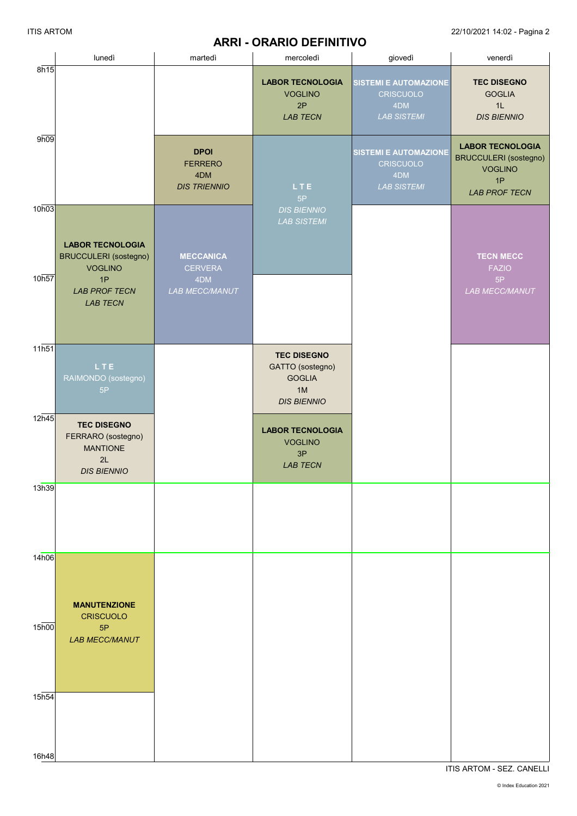### **ARRI - ORARIO DEFINITIVO**

|                   | lunedì                                                                                                                     | martedì                                                     | mercoledì                                                          | giovedì                                                                       | venerdì                                                                                                 |
|-------------------|----------------------------------------------------------------------------------------------------------------------------|-------------------------------------------------------------|--------------------------------------------------------------------|-------------------------------------------------------------------------------|---------------------------------------------------------------------------------------------------------|
| 8h15              |                                                                                                                            |                                                             | <b>LABOR TECNOLOGIA</b><br><b>VOGLINO</b><br>2P<br><b>LAB TECN</b> | <b>SISTEMI E AUTOMAZIONE</b><br>CRISCUOLO<br>4DM<br><b>LAB SISTEMI</b>        | <b>TEC DISEGNO</b><br><b>GOGLIA</b><br>1L<br><b>DIS BIENNIO</b>                                         |
| 9h09              |                                                                                                                            | <b>DPOI</b><br><b>FERRERO</b><br>4DM<br><b>DIS TRIENNIO</b> | LTE<br>5P                                                          | <b>SISTEMI E AUTOMAZIONE</b><br><b>CRISCUOLO</b><br>4DM<br><b>LAB SISTEMI</b> | <b>LABOR TECNOLOGIA</b><br><b>BRUCCULERI</b> (sostegno)<br><b>VOGLINO</b><br>1P<br><b>LAB PROF TECN</b> |
| 10h03<br>10h57    | <b>LABOR TECNOLOGIA</b><br><b>BRUCCULERI</b> (sostegno)<br><b>VOGLINO</b><br>1P<br><b>LAB PROF TECN</b><br><b>LAB TECN</b> | <b>MECCANICA</b><br><b>CERVERA</b><br>4DM<br>LAB MECC/MANUT | <b>DIS BIENNIO</b><br><b>LAB SISTEMI</b>                           |                                                                               | <b>TECN MECC</b><br><b>FAZIO</b><br>5P<br>LAB MECC/MANUT                                                |
| 11h51             |                                                                                                                            |                                                             | <b>TEC DISEGNO</b>                                                 |                                                                               |                                                                                                         |
|                   | LTE<br>RAIMONDO (sostegno)<br>5P                                                                                           |                                                             | GATTO (sostegno)<br><b>GOGLIA</b><br>1M<br><b>DIS BIENNIO</b>      |                                                                               |                                                                                                         |
| 12h45             | <b>TEC DISEGNO</b><br>FERRARO (sostegno)<br><b>MANTIONE</b><br>2L<br><b>DIS BIENNIO</b>                                    |                                                             | <b>LABOR TECNOLOGIA</b><br><b>VOGLINO</b><br>3P<br><b>LAB TECN</b> |                                                                               |                                                                                                         |
| 13h39             |                                                                                                                            |                                                             |                                                                    |                                                                               |                                                                                                         |
| 14h06             | <b>MANUTENZIONE</b>                                                                                                        |                                                             |                                                                    |                                                                               |                                                                                                         |
| 15 <sub>h00</sub> | <b>CRISCUOLO</b><br>5P<br><b>LAB MECC/MANUT</b>                                                                            |                                                             |                                                                    |                                                                               |                                                                                                         |
| 15 <sub>h54</sub> |                                                                                                                            |                                                             |                                                                    |                                                                               |                                                                                                         |
| 16h48             |                                                                                                                            |                                                             |                                                                    |                                                                               |                                                                                                         |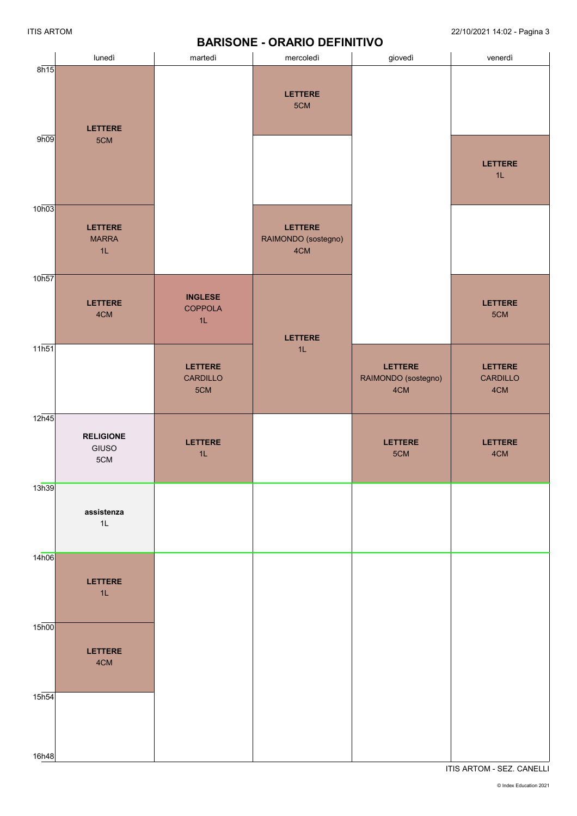#### lunedì martedì | mercoledì | giovedì | venerdì 8h15 9h09 10h03 10h57 11h51  $12h45$ 13h39 14h06 15h00 15h54 16h48 **LETTERE** 5CM **LETTERE** MARRA 1L **LETTERE** 4CM **RELIGIONE** GIUSO 5CM **assistenza** 1L **LETTERE** 1L **LETTERE** 4CM **INGLESE COPPOLA** 1L **LETTERE** CARDILLO 5CM **LETTERE** 1L **LETTERE** 5CM **LETTERE** RAIMONDO (sostegno) 4CM **LETTERE** 1L **LETTERE** RAIMONDO (sostegno) 4CM **LETTERE** 5CM **LETTERE** 1L **LETTERE** 5CM **LETTERE** CARDILLO 4CM **LETTERE** 4CM

 **BARISONE - ORARIO DEFINITIVO**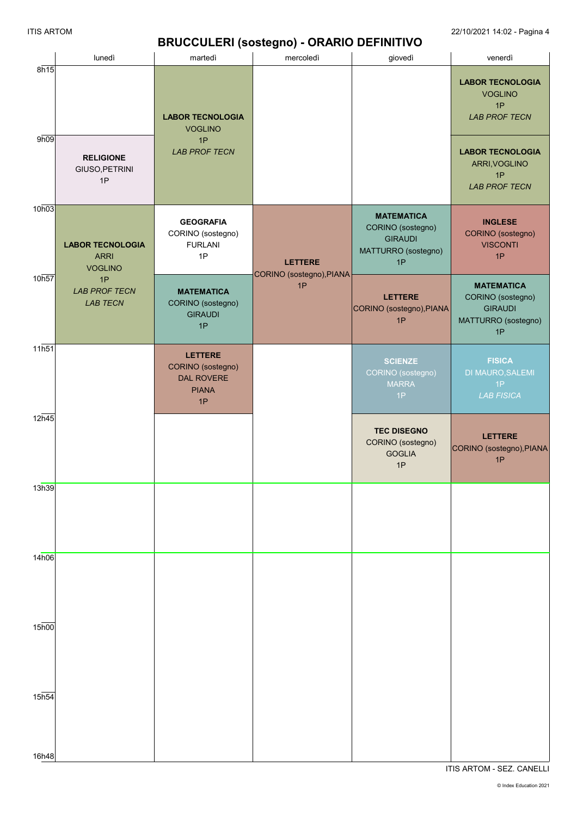## **BRUCCULERI (sostegno) - ORARIO DEFINITIVO**

|                    | lunedì                                                   | martedì                                                                        | . <u>. .</u> <i>.</i><br>mercoledì         | giovedì                                                                               | venerdì                                                                               |
|--------------------|----------------------------------------------------------|--------------------------------------------------------------------------------|--------------------------------------------|---------------------------------------------------------------------------------------|---------------------------------------------------------------------------------------|
| 8h15<br>9h09       |                                                          | <b>LABOR TECNOLOGIA</b><br><b>VOGLINO</b>                                      |                                            |                                                                                       | <b>LABOR TECNOLOGIA</b><br><b>VOGLINO</b><br>1P<br><b>LAB PROF TECN</b>               |
|                    | <b>RELIGIONE</b><br>GIUSO, PETRINI<br>1P                 | 1P<br><b>LAB PROF TECN</b>                                                     |                                            |                                                                                       | <b>LABOR TECNOLOGIA</b><br>ARRI, VOGLINO<br>1P<br><b>LAB PROF TECN</b>                |
| 10h03              | <b>LABOR TECNOLOGIA</b><br><b>ARRI</b><br><b>VOGLINO</b> | <b>GEOGRAFIA</b><br>CORINO (sostegno)<br><b>FURLANI</b><br>1P                  | <b>LETTERE</b><br>CORINO (sostegno), PIANA | <b>MATEMATICA</b><br>CORINO (sostegno)<br><b>GIRAUDI</b><br>MATTURRO (sostegno)<br>1P | <b>INGLESE</b><br>CORINO (sostegno)<br><b>VISCONTI</b><br>1P                          |
| 10h57              | 1P<br><b>LAB PROF TECN</b><br><b>LAB TECN</b>            | <b>MATEMATICA</b><br>CORINO (sostegno)<br><b>GIRAUDI</b><br>1P                 | 1P                                         | <b>LETTERE</b><br>CORINO (sostegno), PIANA<br>1P                                      | <b>MATEMATICA</b><br>CORINO (sostegno)<br><b>GIRAUDI</b><br>MATTURRO (sostegno)<br>1P |
| 11h51              |                                                          | <b>LETTERE</b><br>CORINO (sostegno)<br><b>DAL ROVERE</b><br><b>PIANA</b><br>1P |                                            | <b>SCIENZE</b><br>CORINO (sostegno)<br><b>MARRA</b><br>1P                             | <b>FISICA</b><br><b>DI MAURO, SALEMI</b><br>1P<br><b>LAB FISICA</b>                   |
| 12h45              |                                                          |                                                                                |                                            | <b>TEC DISEGNO</b><br>CORINO (sostegno)<br><b>GOGLIA</b><br>1P                        | <b>LETTERE</b><br>CORINO (sostegno), PIANA<br>1P                                      |
| 13h39              |                                                          |                                                                                |                                            |                                                                                       |                                                                                       |
| 14h06              |                                                          |                                                                                |                                            |                                                                                       |                                                                                       |
| $15\overline{h00}$ |                                                          |                                                                                |                                            |                                                                                       |                                                                                       |
| 15h54<br>16h48     |                                                          |                                                                                |                                            |                                                                                       |                                                                                       |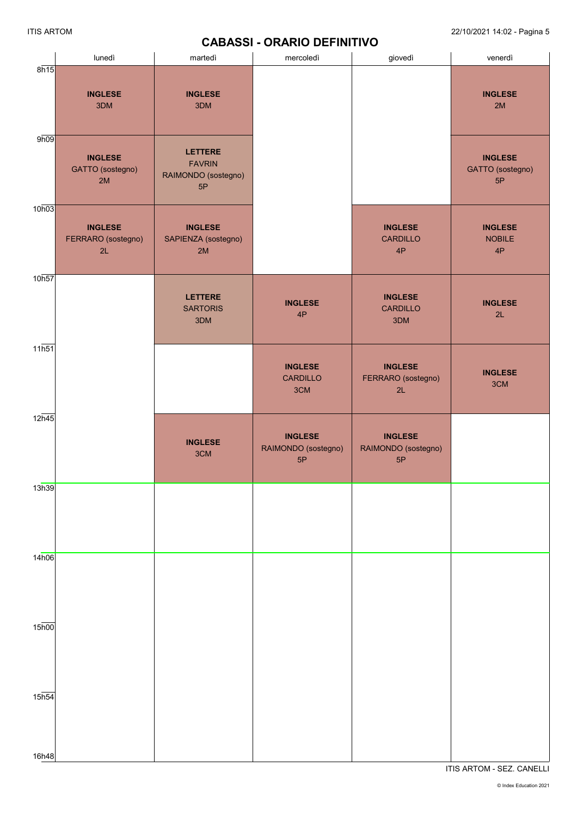## **CABASSI - ORARIO DEFINITIVO**

|                    | lunedì                                     | martedì                                                      | mercoledì                                   | giovedì                                     | venerdì                                  |
|--------------------|--------------------------------------------|--------------------------------------------------------------|---------------------------------------------|---------------------------------------------|------------------------------------------|
| 8h15               | <b>INGLESE</b><br>3DM                      | <b>INGLESE</b><br>3DM                                        |                                             |                                             | <b>INGLESE</b><br>2M                     |
| 9h09               | <b>INGLESE</b><br>GATTO (sostegno)<br>2M   | <b>LETTERE</b><br><b>FAVRIN</b><br>RAIMONDO (sostegno)<br>5P |                                             |                                             | <b>INGLESE</b><br>GATTO (sostegno)<br>5P |
| 10h03              | <b>INGLESE</b><br>FERRARO (sostegno)<br>2L | <b>INGLESE</b><br>SAPIENZA (sostegno)<br>2M                  |                                             | <b>INGLESE</b><br><b>CARDILLO</b><br>4P     | <b>INGLESE</b><br><b>NOBILE</b><br>4P    |
| 10h57              |                                            | <b>LETTERE</b><br><b>SARTORIS</b><br>3DM                     | <b>INGLESE</b><br>4P                        | <b>INGLESE</b><br><b>CARDILLO</b><br>3DM    | <b>INGLESE</b><br>2L                     |
| 11h51              |                                            |                                                              | <b>INGLESE</b><br><b>CARDILLO</b><br>3CM    | <b>INGLESE</b><br>FERRARO (sostegno)<br>2L  | <b>INGLESE</b><br>3CM                    |
| 12h45              |                                            | <b>INGLESE</b><br>3CM                                        | <b>INGLESE</b><br>RAIMONDO (sostegno)<br>5P | <b>INGLESE</b><br>RAIMONDO (sostegno)<br>5P |                                          |
| 13h39              |                                            |                                                              |                                             |                                             |                                          |
| 14h06              |                                            |                                                              |                                             |                                             |                                          |
| $15\overline{h00}$ |                                            |                                                              |                                             |                                             |                                          |
| $15\overline{h54}$ |                                            |                                                              |                                             |                                             |                                          |
| 16h48              |                                            |                                                              |                                             |                                             | ITIS ARTOM - SEZ. CANELLI                |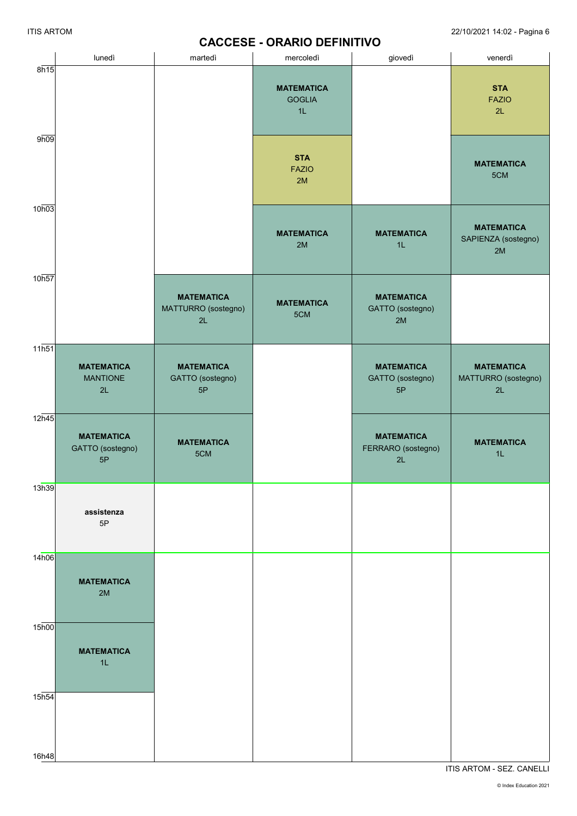## **CACCESE - ORARIO DEFINITIVO**

|                   | lunedì                                      | martedì                                        | mercoledì                                | giovedì                                       | venerdì                                        |
|-------------------|---------------------------------------------|------------------------------------------------|------------------------------------------|-----------------------------------------------|------------------------------------------------|
| 8h15              |                                             |                                                | <b>MATEMATICA</b><br><b>GOGLIA</b><br>1L |                                               | <b>STA</b><br><b>FAZIO</b><br>2L               |
| 9h09              |                                             |                                                | <b>STA</b><br><b>FAZIO</b><br>2M         |                                               | <b>MATEMATICA</b><br>5CM                       |
| 10h03             |                                             |                                                | <b>MATEMATICA</b><br>2M                  | <b>MATEMATICA</b><br>1L                       | <b>MATEMATICA</b><br>SAPIENZA (sostegno)<br>2M |
| 10h57             |                                             | <b>MATEMATICA</b><br>MATTURRO (sostegno)<br>2L | <b>MATEMATICA</b><br>5CM                 | <b>MATEMATICA</b><br>GATTO (sostegno)<br>2M   |                                                |
| 11h51             | <b>MATEMATICA</b><br><b>MANTIONE</b><br>2L  | <b>MATEMATICA</b><br>GATTO (sostegno)<br>5P    |                                          | <b>MATEMATICA</b><br>GATTO (sostegno)<br>5P   | <b>MATEMATICA</b><br>MATTURRO (sostegno)<br>2L |
| 12h45             | <b>MATEMATICA</b><br>GATTO (sostegno)<br>5P | <b>MATEMATICA</b><br>5CM                       |                                          | <b>MATEMATICA</b><br>FERRARO (sostegno)<br>2L | <b>MATEMATICA</b><br>1L                        |
| 13h39             | assistenza<br>5P                            |                                                |                                          |                                               |                                                |
| 14h06             | <b>MATEMATICA</b><br>2M                     |                                                |                                          |                                               |                                                |
| 15 <sub>h00</sub> | <b>MATEMATICA</b><br>1L                     |                                                |                                          |                                               |                                                |
| 15h54             |                                             |                                                |                                          |                                               |                                                |
| 16h48             |                                             |                                                |                                          |                                               |                                                |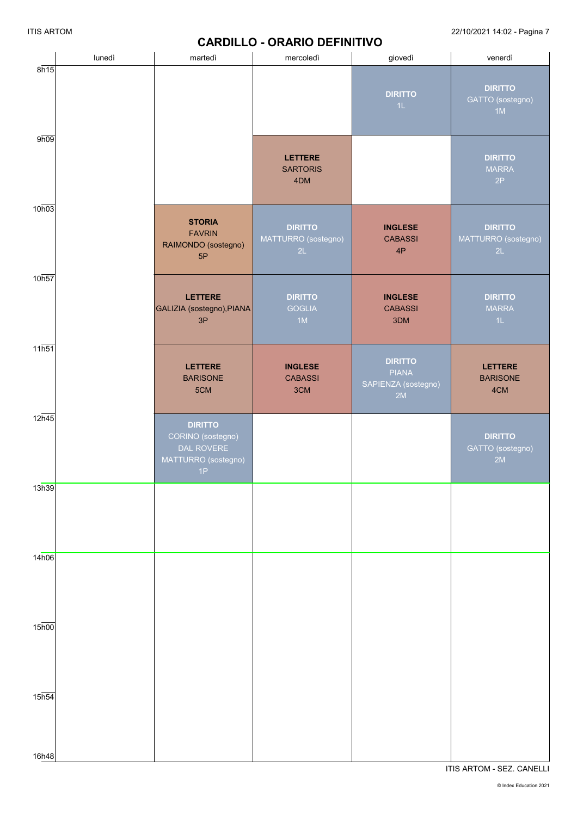### **CARDILLO - ORARIO DEFINITIVO**

|                    | lunedì | martedì                                                                        | mercoledì                                   | giovedì                                                     | venerdì                                     |
|--------------------|--------|--------------------------------------------------------------------------------|---------------------------------------------|-------------------------------------------------------------|---------------------------------------------|
| 8h15               |        |                                                                                |                                             | <b>DIRITTO</b><br>1L                                        | <b>DIRITTO</b><br>GATTO (sostegno)<br>1M    |
| 9h09               |        |                                                                                | <b>LETTERE</b><br><b>SARTORIS</b><br>4DM    |                                                             | <b>DIRITTO</b><br><b>MARRA</b><br>2P        |
| 10h03              |        | <b>STORIA</b><br><b>FAVRIN</b><br>RAIMONDO (sostegno)<br>5P                    | <b>DIRITTO</b><br>MATTURRO (sostegno)<br>2L | <b>INGLESE</b><br><b>CABASSI</b><br>4P                      | <b>DIRITTO</b><br>MATTURRO (sostegno)<br>2L |
| 10 <sub>h57</sub>  |        | <b>LETTERE</b><br>GALIZIA (sostegno), PIANA<br>3P                              | <b>DIRITTO</b><br><b>GOGLIA</b><br>1M       | <b>INGLESE</b><br><b>CABASSI</b><br>3DM                     | <b>DIRITTO</b><br><b>MARRA</b><br>1L        |
| $11\overline{h51}$ |        | <b>LETTERE</b><br><b>BARISONE</b><br>5CM                                       | <b>INGLESE</b><br><b>CABASSI</b><br>3CM     | <b>DIRITTO</b><br><b>PIANA</b><br>SAPIENZA (sostegno)<br>2M | <b>LETTERE</b><br><b>BARISONE</b><br>4CM    |
| $12\overline{h45}$ |        | <b>DIRITTO</b><br>CORINO (sostegno)<br>DAL ROVERE<br>MATTURRO (sostegno)<br>1P |                                             |                                                             | <b>DIRITTO</b><br>GATTO (sostegno)<br>2M    |
| 13h39              |        |                                                                                |                                             |                                                             |                                             |
| 14h06              |        |                                                                                |                                             |                                                             |                                             |
| $15\overline{h00}$ |        |                                                                                |                                             |                                                             |                                             |
| $15\overline{h54}$ |        |                                                                                |                                             |                                                             |                                             |
| 16h48              |        |                                                                                |                                             |                                                             |                                             |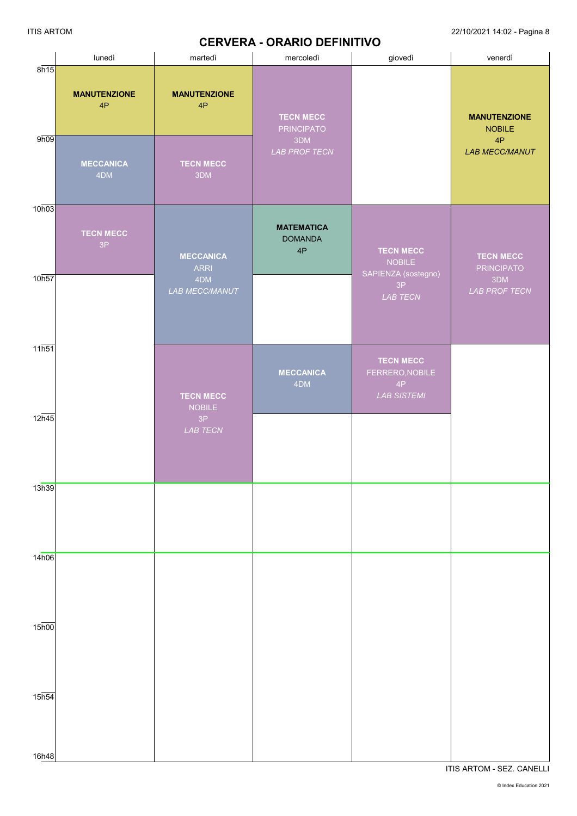# **CERVERA - ORARIO DEFINITIVO**

|                             |                                                      |                                                      | <u>ULIVENA - UNANIU DEI INITIVU</u>                                  |                                                                 |                                                                     |
|-----------------------------|------------------------------------------------------|------------------------------------------------------|----------------------------------------------------------------------|-----------------------------------------------------------------|---------------------------------------------------------------------|
|                             | lunedì                                               | martedì                                              | mercoledì                                                            | giovedì                                                         | venerdì                                                             |
| 8h15<br>9h09                | <b>MANUTENZIONE</b><br>4P<br><b>MECCANICA</b><br>4DM | <b>MANUTENZIONE</b><br>4P<br><b>TECN MECC</b><br>3DM | <b>TECN MECC</b><br><b>PRINCIPATO</b><br>3DM<br><b>LAB PROF TECN</b> |                                                                 | <b>MANUTENZIONE</b><br><b>NOBILE</b><br>4P<br><b>LAB MECC/MANUT</b> |
| 10h03                       |                                                      |                                                      |                                                                      |                                                                 |                                                                     |
|                             | <b>TECN MECC</b><br>3P                               | <b>MECCANICA</b><br><b>ARRI</b>                      | <b>MATEMATICA</b><br><b>DOMANDA</b><br>4P                            | <b>TECN MECC</b><br>NOBILE<br>SAPIENZA (sostegno)               | <b>TECN MECC</b><br><b>PRINCIPATO</b>                               |
| 10h57                       |                                                      | 4DM<br>LAB MECC/MANUT                                |                                                                      | 3P<br>LAB TECN                                                  | 3DM<br><b>LAB PROF TECN</b>                                         |
| 11h51                       |                                                      | <b>TECN MECC</b><br><b>NOBILE</b>                    | <b>MECCANICA</b><br>4DM                                              | <b>TECN MECC</b><br>FERRERO, NOBILE<br>4P<br><b>LAB SISTEMI</b> |                                                                     |
| 12h45                       |                                                      | 3P<br>LAB TECN                                       |                                                                      |                                                                 |                                                                     |
| 13h39                       |                                                      |                                                      |                                                                      |                                                                 |                                                                     |
|                             |                                                      |                                                      |                                                                      |                                                                 |                                                                     |
| 14h06                       |                                                      |                                                      |                                                                      |                                                                 |                                                                     |
| $15\overline{h00}$          |                                                      |                                                      |                                                                      |                                                                 |                                                                     |
| $15h\overline{54}$<br>16h48 |                                                      |                                                      |                                                                      |                                                                 |                                                                     |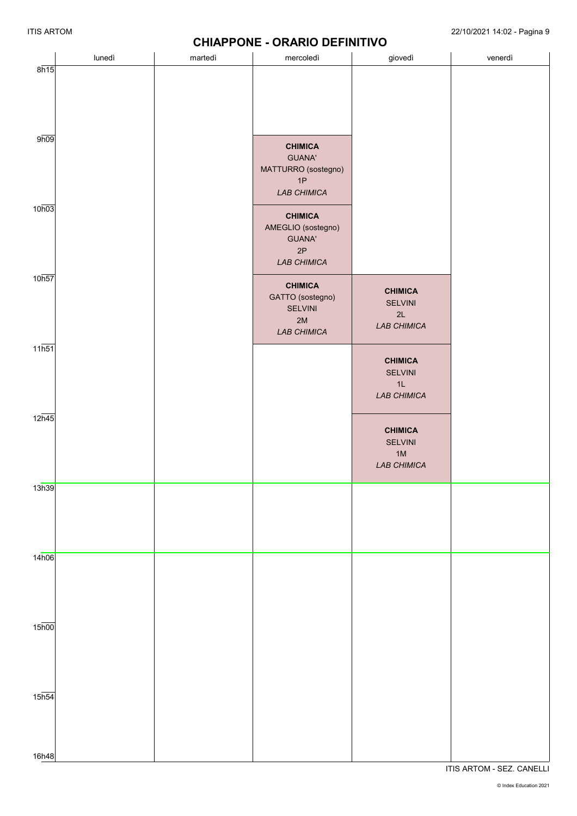|                    |        |         | <b>STIRT LONE - SIVANO DEL INITIVO</b>                                      |                                                                |         |
|--------------------|--------|---------|-----------------------------------------------------------------------------|----------------------------------------------------------------|---------|
|                    | lunedì | martedì | mercoledì                                                                   | giovedì                                                        | venerdì |
| 8h15               |        |         |                                                                             |                                                                |         |
| 9h09               |        |         | <b>CHIMICA</b><br><b>GUANA'</b><br>MATTURRO (sostegno)<br>1P<br>LAB CHIMICA |                                                                |         |
| 10h03              |        |         | <b>CHIMICA</b><br>AMEGLIO (sostegno)<br><b>GUANA'</b><br>2P<br>LAB CHIMICA  |                                                                |         |
| 10 <sub>h57</sub>  |        |         | <b>CHIMICA</b><br>GATTO (sostegno)<br><b>SELVINI</b><br>$2M$<br>LAB CHIMICA | <b>CHIMICA</b><br>SELVINI<br>2L<br>LAB CHIMICA                 |         |
| 11h51              |        |         |                                                                             | <b>CHIMICA</b><br>SELVINI<br>1L<br>LAB CHIMICA                 |         |
| $12\overline{h45}$ |        |         |                                                                             | <b>CHIMICA</b><br><b>SELVINI</b><br>$1M$<br><b>LAB CHIMICA</b> |         |
| 13h39              |        |         |                                                                             |                                                                |         |
| 14h06              |        |         |                                                                             |                                                                |         |
| $15\overline{h00}$ |        |         |                                                                             |                                                                |         |
| $15\overline{h54}$ |        |         |                                                                             |                                                                |         |
| 16h48              |        |         |                                                                             |                                                                |         |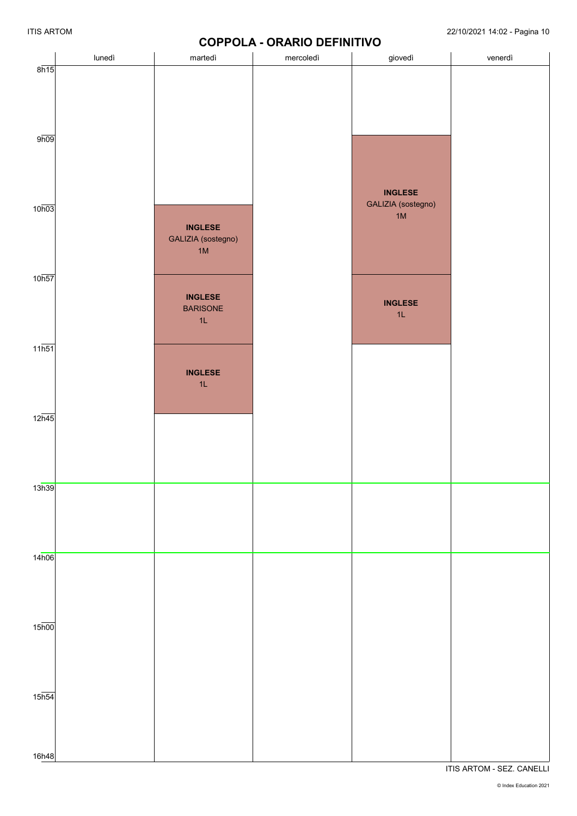# **COPPOLA - ORARIO DEFINITIVO**

|                            | lunedì | martedì                                            | <b><i>UUFFULA • UNANIU DEI INITIVU</i></b><br>mercoledì | giovedì                                      | venerdì |
|----------------------------|--------|----------------------------------------------------|---------------------------------------------------------|----------------------------------------------|---------|
| 8h15                       |        |                                                    |                                                         |                                              |         |
| 9h09                       |        |                                                    |                                                         |                                              |         |
| 10 <sub>h03</sub>          |        | <b>INGLESE</b><br>GALIZIA (sostegno)<br>1M         |                                                         | <b>INGLESE</b><br>GALIZIA (sostegno)<br>$1M$ |         |
| 10 <sub>h57</sub>          |        | <b>INGLESE</b><br><b>BARISONE</b><br>$1\mathsf{L}$ |                                                         | <b>INGLESE</b><br>$1\mathsf{L}$              |         |
| $11\overline{\text{h}51}$  |        | <b>INGLESE</b><br>1L                               |                                                         |                                              |         |
| $12\overline{h45}$         |        |                                                    |                                                         |                                              |         |
| 13h39                      |        |                                                    |                                                         |                                              |         |
| 14h06                      |        |                                                    |                                                         |                                              |         |
| $15\overline{h00}$         |        |                                                    |                                                         |                                              |         |
| 15 <sub>h54</sub><br>16h48 |        |                                                    |                                                         |                                              |         |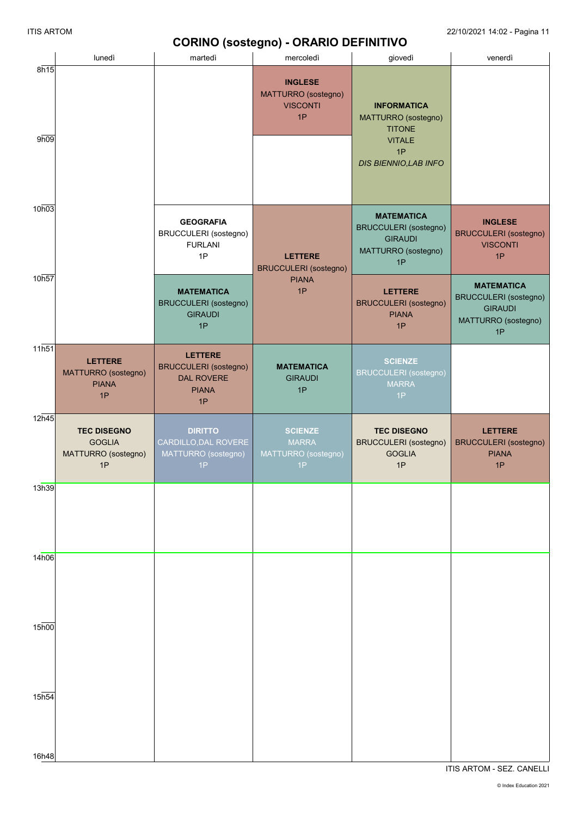|                             |                                                                  |                                                                                           | <b>CONTRO (SUSTEGRIO) - ONARIO DEI INTITIVO</b>                |                                                                                                            |                                                                                                  |
|-----------------------------|------------------------------------------------------------------|-------------------------------------------------------------------------------------------|----------------------------------------------------------------|------------------------------------------------------------------------------------------------------------|--------------------------------------------------------------------------------------------------|
| 8h15                        | lunedì                                                           | martedì                                                                                   | mercoledì                                                      | giovedì                                                                                                    | venerdì                                                                                          |
| 9h09                        |                                                                  |                                                                                           | <b>INGLESE</b><br>MATTURRO (sostegno)<br><b>VISCONTI</b><br>1P | <b>INFORMATICA</b><br>MATTURRO (sostegno)<br><b>TITONE</b><br><b>VITALE</b><br>1P<br>DIS BIENNIO, LAB INFO |                                                                                                  |
| 10h03                       |                                                                  | <b>GEOGRAFIA</b><br><b>BRUCCULERI</b> (sostegno)<br><b>FURLANI</b><br>1P                  | <b>LETTERE</b><br><b>BRUCCULERI</b> (sostegno)                 | <b>MATEMATICA</b><br><b>BRUCCULERI</b> (sostegno)<br><b>GIRAUDI</b><br>MATTURRO (sostegno)<br>1P           | <b>INGLESE</b><br><b>BRUCCULERI</b> (sostegno)<br><b>VISCONTI</b><br>1P                          |
| 10h57                       |                                                                  | <b>MATEMATICA</b><br><b>BRUCCULERI</b> (sostegno)<br><b>GIRAUDI</b><br>1P                 | <b>PIANA</b><br>1P                                             | <b>LETTERE</b><br><b>BRUCCULERI</b> (sostegno)<br><b>PIANA</b><br>1P                                       | <b>MATEMATICA</b><br><b>BRUCCULERI</b> (sostegno)<br><b>GIRAUDI</b><br>MATTURRO (sostegno)<br>1P |
| $11\overline{h51}$          | <b>LETTERE</b><br>MATTURRO (sostegno)<br><b>PIANA</b><br>1P      | <b>LETTERE</b><br><b>BRUCCULERI</b> (sostegno)<br><b>DAL ROVERE</b><br><b>PIANA</b><br>1P | <b>MATEMATICA</b><br><b>GIRAUDI</b><br>1P                      | <b>SCIENZE</b><br><b>BRUCCULERI</b> (sostegno)<br><b>MARRA</b><br>1P                                       |                                                                                                  |
| $12\overline{h45}$          | <b>TEC DISEGNO</b><br><b>GOGLIA</b><br>MATTURRO (sostegno)<br>1P | <b>DIRITTO</b><br>CARDILLO, DAL ROVERE<br>MATTURRO (sostegno)<br>1P                       | <b>SCIENZE</b><br><b>MARRA</b><br>MATTURRO (sostegno)<br>1P    | <b>TEC DISEGNO</b><br><b>BRUCCULERI</b> (sostegno)<br><b>GOGLIA</b><br>1P                                  | <b>LETTERE</b><br><b>BRUCCULERI</b> (sostegno)<br><b>PIANA</b><br>1P                             |
| 13h39                       |                                                                  |                                                                                           |                                                                |                                                                                                            |                                                                                                  |
| 14h06                       |                                                                  |                                                                                           |                                                                |                                                                                                            |                                                                                                  |
| $15\overline{h00}$<br>15h54 |                                                                  |                                                                                           |                                                                |                                                                                                            |                                                                                                  |
| 16h48                       |                                                                  |                                                                                           |                                                                |                                                                                                            |                                                                                                  |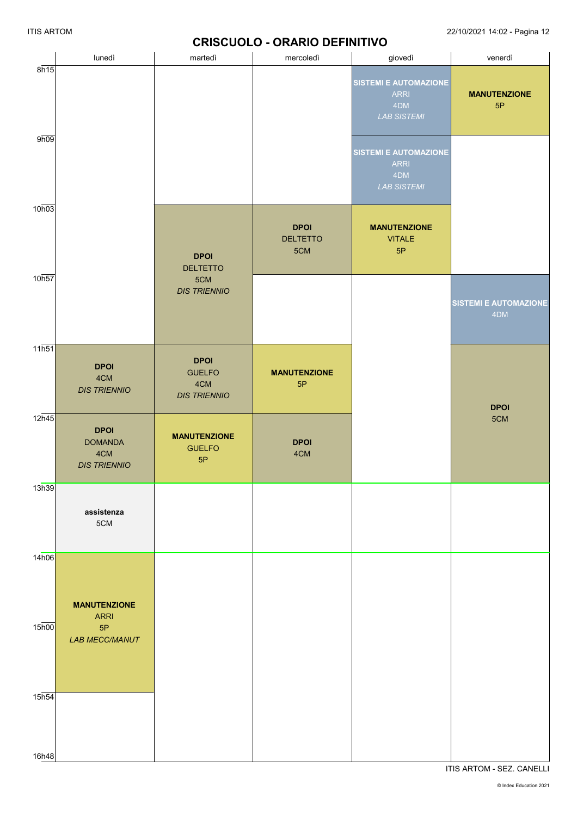## **CRISCUOLO - ORARIO DEFINITIVO**

|                    |                                                             |                                                            | <u>UNUUULU - UNANU DEI INITIVU</u>    |                                                                          |                                     |
|--------------------|-------------------------------------------------------------|------------------------------------------------------------|---------------------------------------|--------------------------------------------------------------------------|-------------------------------------|
|                    | lunedì                                                      | martedì                                                    | mercoledì                             | giovedì                                                                  | venerdì                             |
| 8h15               |                                                             |                                                            |                                       | <b>SISTEMI E AUTOMAZIONE</b><br><b>ARRI</b><br>4DM<br><b>LAB SISTEMI</b> | <b>MANUTENZIONE</b><br>5P           |
| 9h09               |                                                             |                                                            |                                       | <b>SISTEMI E AUTOMAZIONE</b><br><b>ARRI</b><br>4DM<br><b>LAB SISTEMI</b> |                                     |
| 10h03              |                                                             | <b>DPOI</b><br><b>DELTETTO</b>                             | <b>DPOI</b><br><b>DELTETTO</b><br>5CM | <b>MANUTENZIONE</b><br><b>VITALE</b><br>5P                               |                                     |
| 10h57              |                                                             | 5CM<br><b>DIS TRIENNIO</b>                                 |                                       |                                                                          | <b>SISTEMI E AUTOMAZIONE</b><br>4DM |
| $11\overline{h51}$ | <b>DPOI</b><br>4CM<br><b>DIS TRIENNIO</b>                   | <b>DPOI</b><br><b>GUELFO</b><br>4CM<br><b>DIS TRIENNIO</b> | <b>MANUTENZIONE</b><br>5P             |                                                                          | <b>DPOI</b>                         |
| 12h45              | <b>DPOI</b><br><b>DOMANDA</b><br>4CM<br><b>DIS TRIENNIO</b> | <b>MANUTENZIONE</b><br><b>GUELFO</b><br>5P                 | <b>DPOI</b><br>4CM                    |                                                                          | 5CM                                 |
| 13h39              | assistenza<br>5CM                                           |                                                            |                                       |                                                                          |                                     |
| 14h06              | <b>MANUTENZIONE</b><br><b>ARRI</b>                          |                                                            |                                       |                                                                          |                                     |
| 15 <sub>h00</sub>  | 5P<br><b>LAB MECC/MANUT</b>                                 |                                                            |                                       |                                                                          |                                     |
| 15h54              |                                                             |                                                            |                                       |                                                                          |                                     |
| 16h48              |                                                             |                                                            |                                       |                                                                          |                                     |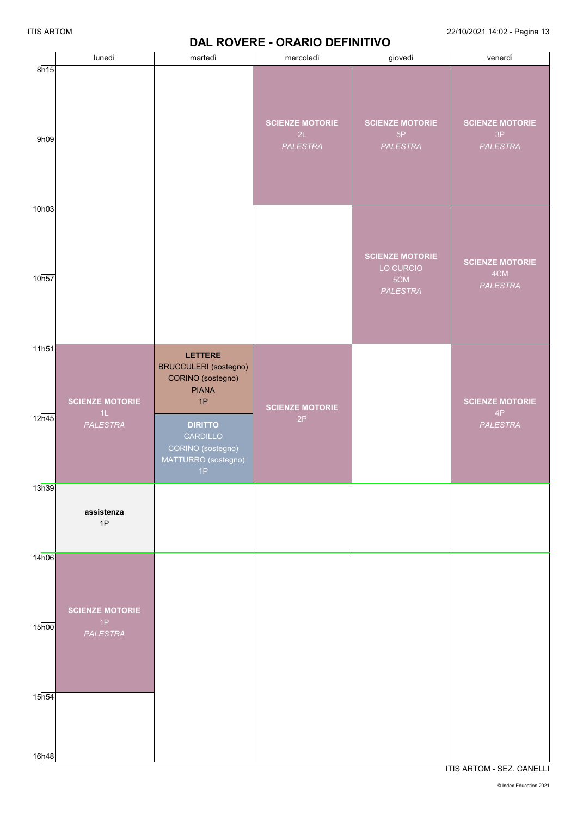## **DAL ROVERE - ORARIO DEFINITIVO**

|                   | lunedì                 |                                                                                           | .                                        | <b></b>                                  |                                                 |
|-------------------|------------------------|-------------------------------------------------------------------------------------------|------------------------------------------|------------------------------------------|-------------------------------------------------|
| 8h15              |                        | martedì                                                                                   | mercoledì                                | giovedì                                  | venerdì                                         |
| 9h09              |                        |                                                                                           | <b>SCIENZE MOTORIE</b><br>2L<br>PALESTRA | <b>SCIENZE MOTORIE</b><br>5P<br>PALESTRA | <b>SCIENZE MOTORIE</b><br>3P<br><b>PALESTRA</b> |
| 10h03             |                        |                                                                                           |                                          | <b>SCIENZE MOTORIE</b><br>LO CURCIO      | <b>SCIENZE MOTORIE</b><br>4CM                   |
| 10h57             |                        |                                                                                           |                                          | 5CM<br>PALESTRA                          | <b>PALESTRA</b>                                 |
| 11h51             | <b>SCIENZE MOTORIE</b> | <b>LETTERE</b><br><b>BRUCCULERI</b> (sostegno)<br>CORINO (sostegno)<br><b>PIANA</b><br>1P |                                          |                                          | <b>SCIENZE MOTORIE</b>                          |
| 12h45             | 1L<br>PALESTRA         | <b>DIRITTO</b><br>CARDILLO<br>CORINO (sostegno)<br>MATTURRO (sostegno)<br>1P              | <b>SCIENZE MOTORIE</b><br>2P             |                                          | $4\mathsf{P}$<br>PALESTRA                       |
| 13h39             |                        |                                                                                           |                                          |                                          |                                                 |
|                   | assistenza<br>1P       |                                                                                           |                                          |                                          |                                                 |
| 14h06             | <b>SCIENZE MOTORIE</b> |                                                                                           |                                          |                                          |                                                 |
| 15 <sub>h00</sub> | 1P<br>PALESTRA         |                                                                                           |                                          |                                          |                                                 |
| 15 <sub>h54</sub> |                        |                                                                                           |                                          |                                          |                                                 |
| 16h48             |                        |                                                                                           |                                          |                                          |                                                 |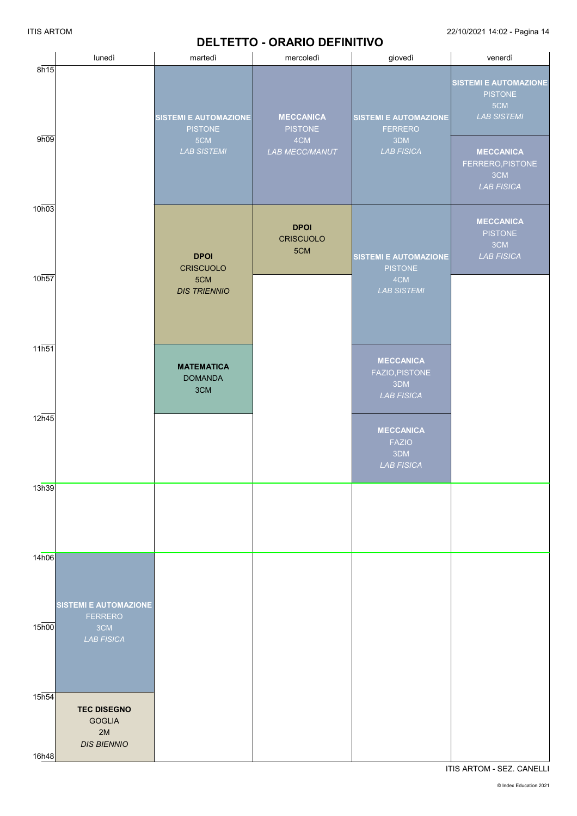# **DELTETTO - ORARIO DEFINITIVO**

ITIS ARTOM 22/10/2021 14:02 - Pagina 14

|                            | lunedì                                                          | martedì                                                                     | DEETETTO - OKAKIO DEI INTITVO<br>mercoledì                         | giovedì                                                                    | venerdì                                                                                                                                         |
|----------------------------|-----------------------------------------------------------------|-----------------------------------------------------------------------------|--------------------------------------------------------------------|----------------------------------------------------------------------------|-------------------------------------------------------------------------------------------------------------------------------------------------|
| 8h15<br>9h09               |                                                                 | <b>SISTEMI E AUTOMAZIONE</b><br><b>PISTONE</b><br>5CM<br><b>LAB SISTEMI</b> | <b>MECCANICA</b><br><b>PISTONE</b><br>4CM<br><b>LAB MECC/MANUT</b> | <b>SISTEMI E AUTOMAZIONE</b><br><b>FERRERO</b><br>3DM<br><b>LAB FISICA</b> | <b>SISTEMI E AUTOMAZIONE</b><br><b>PISTONE</b><br>5CM<br><b>LAB SISTEMI</b><br><b>MECCANICA</b><br>FERRERO, PISTONE<br>3CM<br><b>LAB FISICA</b> |
| 10h03                      |                                                                 | <b>DPOI</b><br><b>CRISCUOLO</b>                                             | <b>DPOI</b><br><b>CRISCUOLO</b><br>5CM                             | <b>SISTEMI E AUTOMAZIONE</b><br><b>PISTONE</b>                             | <b>MECCANICA</b><br><b>PISTONE</b><br>3CM<br><b>LAB FISICA</b>                                                                                  |
| 10h57                      |                                                                 | 5CM<br><b>DIS TRIENNIO</b>                                                  |                                                                    | 4CM<br><b>LAB SISTEMI</b>                                                  |                                                                                                                                                 |
| 11h51                      |                                                                 | <b>MATEMATICA</b><br><b>DOMANDA</b><br>3CM                                  |                                                                    | <b>MECCANICA</b><br>FAZIO, PISTONE<br>3DM<br><b>LAB FISICA</b>             |                                                                                                                                                 |
| 12h45                      |                                                                 |                                                                             |                                                                    | <b>MECCANICA</b><br><b>FAZIO</b><br>3DM<br><b>LAB FISICA</b>               |                                                                                                                                                 |
| 13h39                      |                                                                 |                                                                             |                                                                    |                                                                            |                                                                                                                                                 |
| 14h06                      | <b>SISTEMI E AUTOMAZIONE</b><br><b>FERRERO</b>                  |                                                                             |                                                                    |                                                                            |                                                                                                                                                 |
| 15 <sub>h00</sub>          | 3CM<br><b>LAB FISICA</b>                                        |                                                                             |                                                                    |                                                                            |                                                                                                                                                 |
| 15 <sub>h54</sub><br>16h48 | <b>TEC DISEGNO</b><br><b>GOGLIA</b><br>2M<br><b>DIS BIENNIO</b> |                                                                             |                                                                    |                                                                            |                                                                                                                                                 |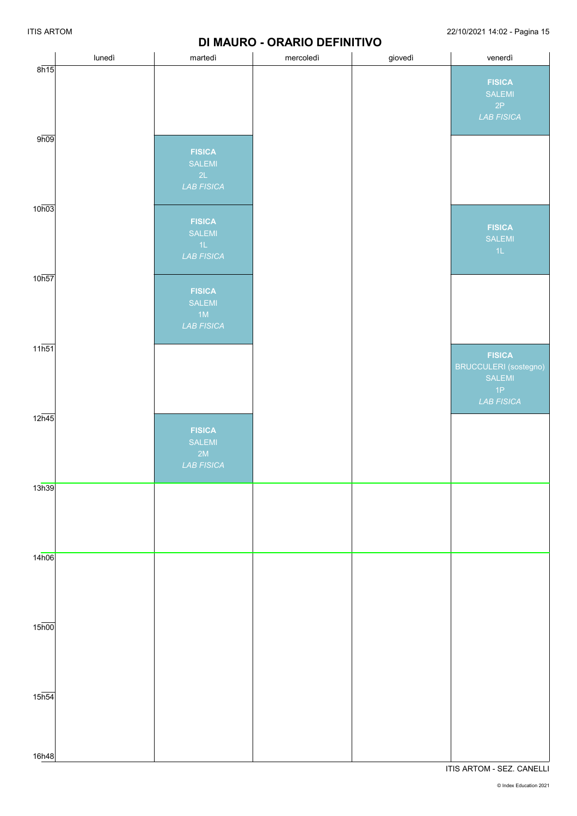### **DI MAURO - ORARIO DEFINITIVO**

|                             | lunedì | martedì                                               | mercoledì | giovedì | venerdì                                                                                    |
|-----------------------------|--------|-------------------------------------------------------|-----------|---------|--------------------------------------------------------------------------------------------|
| 8h15                        |        |                                                       |           |         | <b>FISICA</b><br>SALEMI<br>2P<br><b>LAB FISICA</b>                                         |
| 9h09                        |        | <b>FISICA</b><br>SALEMI<br>2L<br><b>LAB FISICA</b>    |           |         |                                                                                            |
| 10h03                       |        | <b>FISICA</b><br>SALEMI<br>$-1L$<br><b>LAB FISICA</b> |           |         | <b>FISICA</b><br><b>SALEMI</b><br>1L                                                       |
| 10h57                       |        | <b>FISICA</b><br>SALEMI<br>1M<br><b>LAB FISICA</b>    |           |         |                                                                                            |
| $11\overline{h51}$          |        |                                                       |           |         | <b>FISICA</b><br><b>BRUCCULERI</b> (sostegno)<br>SALEMI<br>$\Delta P$<br><b>LAB FISICA</b> |
| $12\overline{h45}$          |        | <b>FISICA</b><br>SALEMI<br>2M<br><b>LAB FISICA</b>    |           |         |                                                                                            |
| 13h39                       |        |                                                       |           |         |                                                                                            |
| 14h06                       |        |                                                       |           |         |                                                                                            |
| 15 <sub>h00</sub>           |        |                                                       |           |         |                                                                                            |
| $15\overline{h54}$<br>16h48 |        |                                                       |           |         |                                                                                            |
|                             |        |                                                       |           |         |                                                                                            |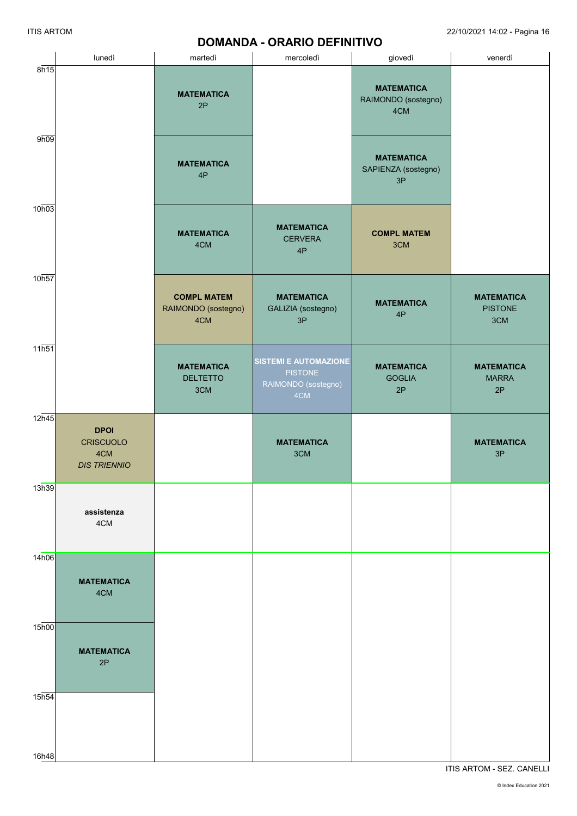## **DOMANDA - ORARIO DEFINITIVO**

|                    | lunedì                                                        | martedì                                          | mercoledì                                                                    | giovedì                                         | venerdì                                    |
|--------------------|---------------------------------------------------------------|--------------------------------------------------|------------------------------------------------------------------------------|-------------------------------------------------|--------------------------------------------|
| 8h15               |                                                               | <b>MATEMATICA</b><br>2P                          |                                                                              | <b>MATEMATICA</b><br>RAIMONDO (sostegno)<br>4CM |                                            |
| 9h09               |                                                               | <b>MATEMATICA</b><br>4P                          |                                                                              | <b>MATEMATICA</b><br>SAPIENZA (sostegno)<br>3P  |                                            |
| 10h03              |                                                               | <b>MATEMATICA</b><br>4CM                         | <b>MATEMATICA</b><br><b>CERVERA</b><br>4P                                    | <b>COMPL MATEM</b><br>3CM                       |                                            |
| 10h57              |                                                               | <b>COMPL MATEM</b><br>RAIMONDO (sostegno)<br>4CM | <b>MATEMATICA</b><br>GALIZIA (sostegno)<br>3P                                | <b>MATEMATICA</b><br>4P                         | <b>MATEMATICA</b><br><b>PISTONE</b><br>3CM |
| 11h51              |                                                               | <b>MATEMATICA</b><br><b>DELTETTO</b><br>3CM      | <b>SISTEMI E AUTOMAZIONE</b><br><b>PISTONE</b><br>RAIMONDO (sostegno)<br>4CM | <b>MATEMATICA</b><br><b>GOGLIA</b><br>2P        | <b>MATEMATICA</b><br><b>MARRA</b><br>2P    |
| 12h45              | <b>DPOI</b><br><b>CRISCUOLO</b><br>4CM<br><b>DIS TRIENNIO</b> |                                                  | <b>MATEMATICA</b><br>3CM                                                     |                                                 | <b>MATEMATICA</b><br>3P                    |
| 13h39              | assistenza<br>4CM                                             |                                                  |                                                                              |                                                 |                                            |
| 14h06              | <b>MATEMATICA</b><br>4CM                                      |                                                  |                                                                              |                                                 |                                            |
| $15\overline{h00}$ | <b>MATEMATICA</b><br>2P                                       |                                                  |                                                                              |                                                 |                                            |
| 15 <sub>h54</sub>  |                                                               |                                                  |                                                                              |                                                 |                                            |
| 16h48              |                                                               |                                                  |                                                                              |                                                 |                                            |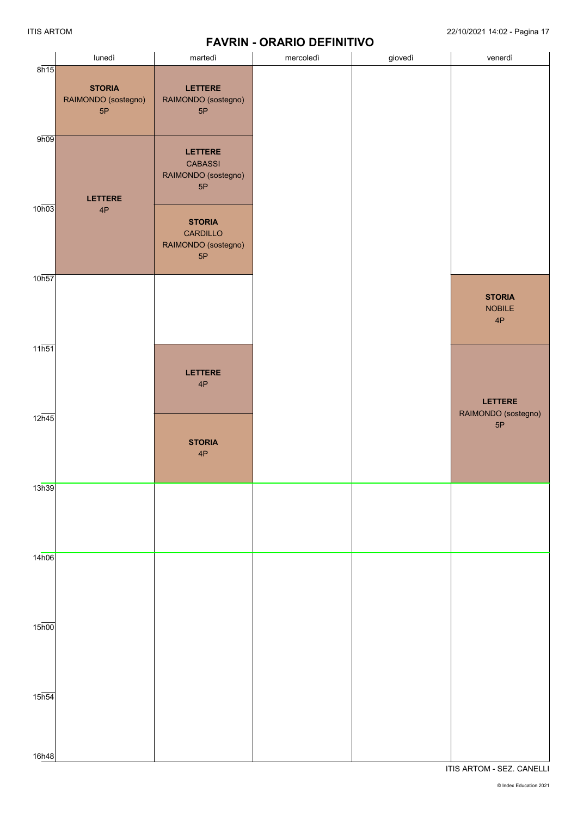# **FAVRIN - ORARIO DEFINITIVO**

|                             | lunedì                                     | martedì                                                       | mercoledì | giovedì | venerdì                              |
|-----------------------------|--------------------------------------------|---------------------------------------------------------------|-----------|---------|--------------------------------------|
| 8h15                        | <b>STORIA</b><br>RAIMONDO (sostegno)<br>5P | LETTERE<br>RAIMONDO (sostegno)<br>5P                          |           |         |                                      |
| 9h09                        | <b>LETTERE</b>                             | LETTERE<br><b>CABASSI</b><br>RAIMONDO (sostegno)<br>5P        |           |         |                                      |
| 10h03                       | 4P                                         | <b>STORIA</b><br><b>CARDILLO</b><br>RAIMONDO (sostegno)<br>5P |           |         |                                      |
| 10h57                       |                                            |                                                               |           |         | <b>STORIA</b><br><b>NOBILE</b><br>4P |
| $11\overline{h51}$          |                                            | <b>LETTERE</b><br>4P                                          |           |         | <b>LETTERE</b>                       |
| 12h45                       |                                            | <b>STORIA</b><br>4P                                           |           |         | RAIMONDO (sostegno)<br>5P            |
| 13h39                       |                                            |                                                               |           |         |                                      |
| 14h06                       |                                            |                                                               |           |         |                                      |
| $15\overline{h00}$          |                                            |                                                               |           |         |                                      |
| $15\overline{h54}$<br>16h48 |                                            |                                                               |           |         |                                      |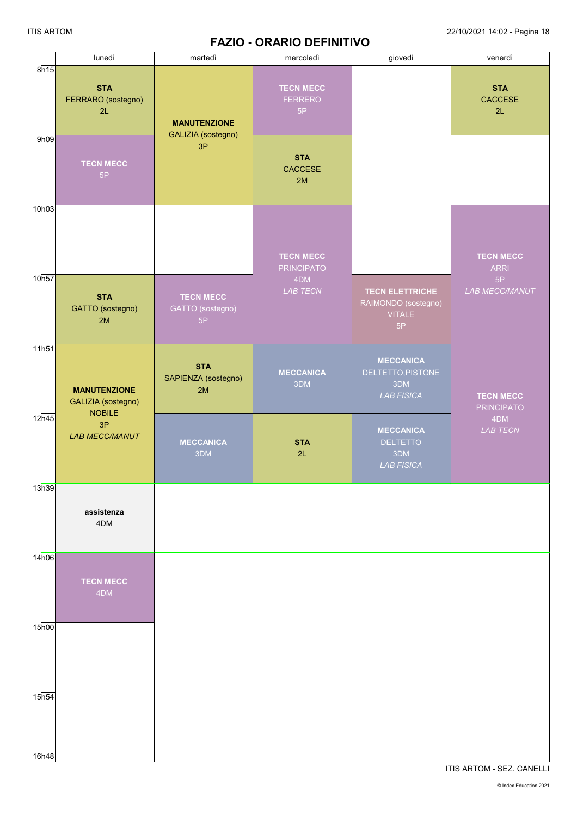## **FAZIO - ORARIO DEFINITIVO**

|                    | lunedì                                                     | martedì                                    | mercoledì                                | giovedì                                                              | venerdì                               |
|--------------------|------------------------------------------------------------|--------------------------------------------|------------------------------------------|----------------------------------------------------------------------|---------------------------------------|
| 8h15               | <b>STA</b><br>FERRARO (sostegno)<br>2L                     | <b>MANUTENZIONE</b><br>GALIZIA (sostegno)  | <b>TECN MECC</b><br><b>FERRERO</b><br>5P |                                                                      | <b>STA</b><br>CACCESE<br>2L           |
| 9h09               | <b>TECN MECC</b><br>5P                                     | 3P                                         | <b>STA</b><br>CACCESE<br>2M              |                                                                      |                                       |
| 10h03              |                                                            |                                            | <b>TECN MECC</b><br><b>PRINCIPATO</b>    |                                                                      | <b>TECN MECC</b><br><b>ARRI</b>       |
| 10h57              | <b>STA</b><br>GATTO (sostegno)<br>2M                       | <b>TECN MECC</b><br>GATTO (sostegno)<br>5P | 4DM<br>LAB TECN                          | <b>TECN ELETTRICHE</b><br>RAIMONDO (sostegno)<br><b>VITALE</b><br>5P | 5P<br>LAB MECC/MANUT                  |
| 11h51              | <b>MANUTENZIONE</b><br>GALIZIA (sostegno)<br><b>NOBILE</b> | <b>STA</b><br>SAPIENZA (sostegno)<br>2M    | <b>MECCANICA</b><br>3DM                  | <b>MECCANICA</b><br>DELTETTO, PISTONE<br>3DM<br><b>LAB FISICA</b>    | <b>TECN MECC</b><br><b>PRINCIPATO</b> |
| 12h45              | 3P<br><b>LAB MECC/MANUT</b>                                | <b>MECCANICA</b><br>3DM                    | <b>STA</b><br>2L                         | <b>MECCANICA</b><br><b>DELTETTO</b><br>3DM<br><b>LAB FISICA</b>      | 4DM<br>LAB TECN                       |
| 13h39              | assistenza<br>4DM                                          |                                            |                                          |                                                                      |                                       |
| 14h06              | <b>TECN MECC</b><br>4DM                                    |                                            |                                          |                                                                      |                                       |
| $15\overline{h00}$ |                                                            |                                            |                                          |                                                                      |                                       |
| 15h54<br>16h48     |                                                            |                                            |                                          |                                                                      |                                       |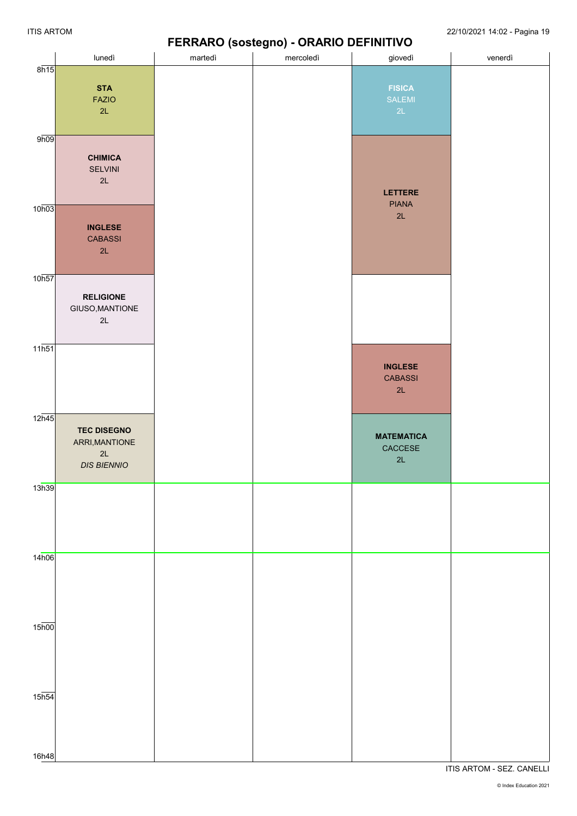### **FERRARO (sostegno) - ORARIO DEFINITIVO**

|                    |                    |         |           | ,                                             |         |
|--------------------|--------------------|---------|-----------|-----------------------------------------------|---------|
|                    | lunedì             | martedì | mercoledì | giovedì                                       | venerdì |
| 8h15               |                    |         |           |                                               |         |
|                    |                    |         |           |                                               |         |
|                    | <b>STA</b>         |         |           | <b>FISICA</b>                                 |         |
|                    | <b>FAZIO</b>       |         |           | <b>SALEMI</b>                                 |         |
|                    | 2L                 |         |           | 2L                                            |         |
|                    |                    |         |           |                                               |         |
|                    |                    |         |           |                                               |         |
| 9h09               |                    |         |           |                                               |         |
|                    |                    |         |           |                                               |         |
|                    | <b>CHIMICA</b>     |         |           |                                               |         |
|                    | SELVINI            |         |           |                                               |         |
|                    | 2L                 |         |           |                                               |         |
|                    |                    |         |           |                                               |         |
|                    |                    |         |           | LETTERE                                       |         |
| 10h03              |                    |         |           | <b>PIANA</b>                                  |         |
|                    |                    |         |           | 2L                                            |         |
|                    | <b>INGLESE</b>     |         |           |                                               |         |
|                    |                    |         |           |                                               |         |
|                    | <b>CABASSI</b>     |         |           |                                               |         |
|                    | 2L                 |         |           |                                               |         |
|                    |                    |         |           |                                               |         |
|                    |                    |         |           |                                               |         |
| 10h57              |                    |         |           |                                               |         |
|                    |                    |         |           |                                               |         |
|                    | <b>RELIGIONE</b>   |         |           |                                               |         |
|                    | GIUSO, MANTIONE    |         |           |                                               |         |
|                    | 2L                 |         |           |                                               |         |
|                    |                    |         |           |                                               |         |
|                    |                    |         |           |                                               |         |
| $11\overline{h51}$ |                    |         |           |                                               |         |
|                    |                    |         |           |                                               |         |
|                    |                    |         |           | <b>INGLESE</b>                                |         |
|                    |                    |         |           | <b>CABASSI</b>                                |         |
|                    |                    |         |           | 2L                                            |         |
|                    |                    |         |           |                                               |         |
|                    |                    |         |           |                                               |         |
| $12\overline{n45}$ |                    |         |           |                                               |         |
|                    | <b>TEC DISEGNO</b> |         |           |                                               |         |
|                    |                    |         |           | <b>MATEMATICA</b>                             |         |
|                    | ARRI, MANTIONE     |         |           | $\mathsf{C}\mathsf{AC}\mathsf{CE}\mathsf{SE}$ |         |
|                    | 2L                 |         |           | 2L                                            |         |
|                    | <b>DIS BIENNIO</b> |         |           |                                               |         |
|                    |                    |         |           |                                               |         |
| 13h39              |                    |         |           |                                               |         |
|                    |                    |         |           |                                               |         |
|                    |                    |         |           |                                               |         |
|                    |                    |         |           |                                               |         |
|                    |                    |         |           |                                               |         |
|                    |                    |         |           |                                               |         |
|                    |                    |         |           |                                               |         |
| 14h06              |                    |         |           |                                               |         |
|                    |                    |         |           |                                               |         |
|                    |                    |         |           |                                               |         |
|                    |                    |         |           |                                               |         |
|                    |                    |         |           |                                               |         |
|                    |                    |         |           |                                               |         |
|                    |                    |         |           |                                               |         |
| $15\overline{h00}$ |                    |         |           |                                               |         |
|                    |                    |         |           |                                               |         |
|                    |                    |         |           |                                               |         |
|                    |                    |         |           |                                               |         |
|                    |                    |         |           |                                               |         |
|                    |                    |         |           |                                               |         |
|                    |                    |         |           |                                               |         |
|                    |                    |         |           |                                               |         |
| $15\overline{h54}$ |                    |         |           |                                               |         |
|                    |                    |         |           |                                               |         |
|                    |                    |         |           |                                               |         |
|                    |                    |         |           |                                               |         |
|                    |                    |         |           |                                               |         |
|                    |                    |         |           |                                               |         |
| 16h48              |                    |         |           |                                               |         |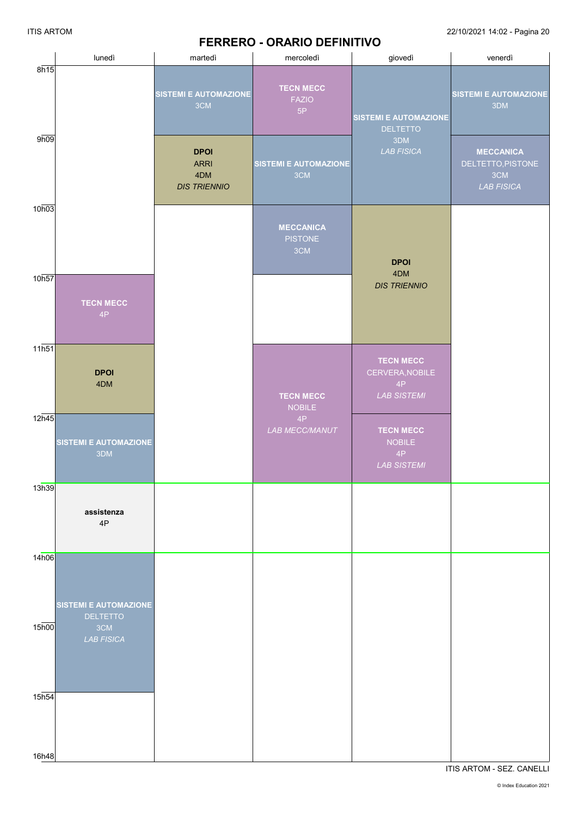#### **FERRERO - ORARIO DEFINITIVO**

|                   | lunedì                                      | martedì                                                  | mercoledì                                 | giovedì                                                         | venerdì                                                           |
|-------------------|---------------------------------------------|----------------------------------------------------------|-------------------------------------------|-----------------------------------------------------------------|-------------------------------------------------------------------|
| 8h15              |                                             | <b>SISTEMI E AUTOMAZIONE</b><br>3CM                      | <b>TECN MECC</b><br><b>FAZIO</b><br>5P    | <b>SISTEMI E AUTOMAZIONE</b><br><b>DELTETTO</b>                 | <b>SISTEMI E AUTOMAZIONE</b><br>3DM                               |
| 9h09              |                                             | <b>DPOI</b><br><b>ARRI</b><br>4DM<br><b>DIS TRIENNIO</b> | <b>SISTEMI E AUTOMAZIONE</b><br>3CM       | 3DM<br><b>LAB FISICA</b>                                        | <b>MECCANICA</b><br>DELTETTO, PISTONE<br>3CM<br><b>LAB FISICA</b> |
| 10h03             |                                             |                                                          | <b>MECCANICA</b><br><b>PISTONE</b><br>3CM | <b>DPOI</b>                                                     |                                                                   |
| 10h57             | <b>TECN MECC</b><br>4P                      |                                                          |                                           | 4DM<br><b>DIS TRIENNIO</b>                                      |                                                                   |
| 11h51             | <b>DPOI</b><br>4DM                          |                                                          | <b>TECN MECC</b><br><b>NOBILE</b>         | <b>TECN MECC</b><br>CERVERA, NOBILE<br>4P<br><b>LAB SISTEMI</b> |                                                                   |
| 12h45             | <b>SISTEMI E AUTOMAZIONE</b><br>3DM         |                                                          | 4P<br>LAB MECC/MANUT                      | <b>TECN MECC</b><br><b>NOBILE</b><br>4P<br><b>LAB SISTEMI</b>   |                                                                   |
| 13h39             | assistenza<br>4P                            |                                                          |                                           |                                                                 |                                                                   |
| 14h06             | <b>SISTEMI E AUTOMAZIONE</b>                |                                                          |                                           |                                                                 |                                                                   |
| 15 <sub>h00</sub> | <b>DELTETTO</b><br>3CM<br><b>LAB FISICA</b> |                                                          |                                           |                                                                 |                                                                   |
| 15 <sub>h54</sub> |                                             |                                                          |                                           |                                                                 |                                                                   |
| 16h48             |                                             |                                                          |                                           |                                                                 |                                                                   |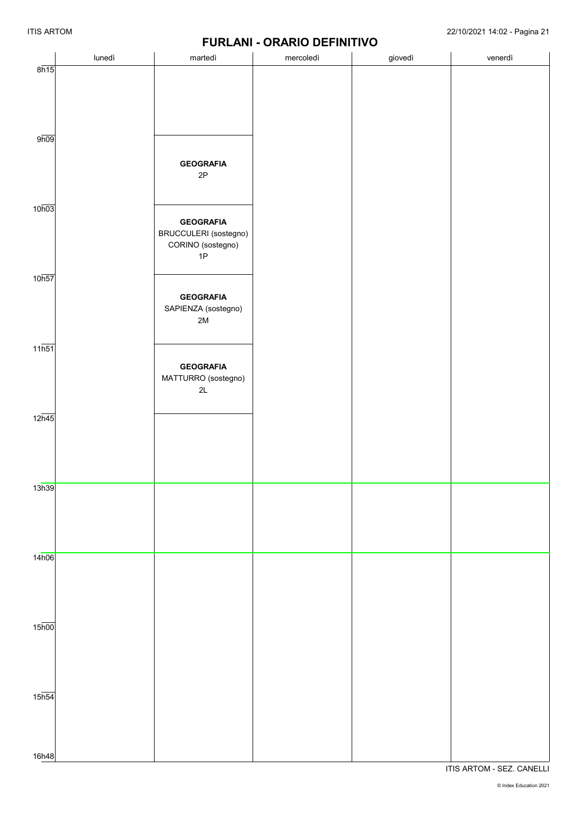|                             |        |                                                                      | <b>FUNLAINI - UNANIU DEFIINITIVU</b> |         |         |
|-----------------------------|--------|----------------------------------------------------------------------|--------------------------------------|---------|---------|
|                             | lunedì | martedì                                                              | mercoledì                            | giovedì | venerdì |
| 8h15                        |        |                                                                      |                                      |         |         |
| 9h09                        |        | <b>GEOGRAFIA</b><br>2P                                               |                                      |         |         |
| 10 <sub>h03</sub>           |        | <b>GEOGRAFIA</b><br>BRUCCULERI (sostegno)<br>CORINO (sostegno)<br>1P |                                      |         |         |
| 10 <sub>h57</sub>           |        | <b>GEOGRAFIA</b><br>SAPIENZA (sostegno)<br>$2\mathsf{M}$             |                                      |         |         |
| $11\overline{h51}$          |        | <b>GEOGRAFIA</b><br>MATTURRO (sostegno)<br>$2\mathsf{L}$             |                                      |         |         |
| $12\overline{h45}$          |        |                                                                      |                                      |         |         |
| 13h39                       |        |                                                                      |                                      |         |         |
| 14h06                       |        |                                                                      |                                      |         |         |
| $15\overline{h00}$          |        |                                                                      |                                      |         |         |
| $15\overline{h54}$<br>16h48 |        |                                                                      |                                      |         |         |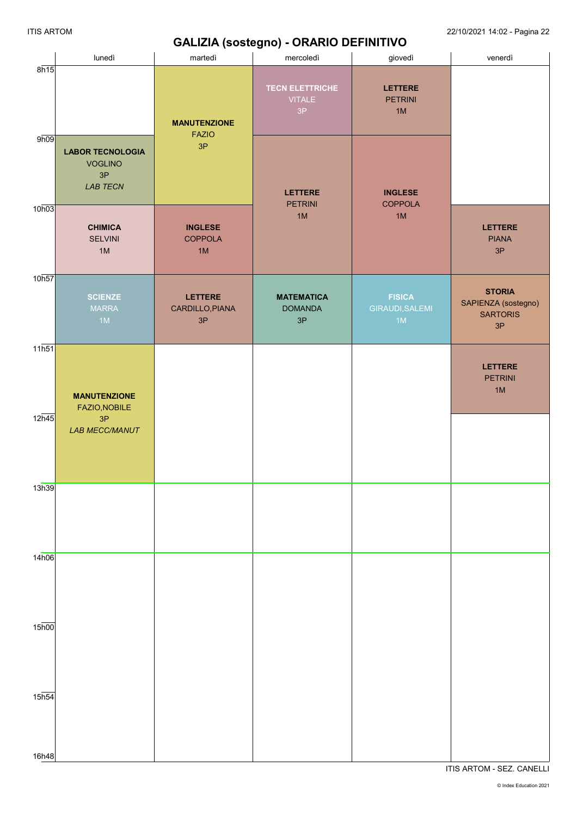## **GALIZIA (sostegno) - ORARIO DEFINITIVO**

|                             | lunedì                                                                        | martedì                                 | mercoledì                                            | giovedì                                | venerdì                                                       |
|-----------------------------|-------------------------------------------------------------------------------|-----------------------------------------|------------------------------------------------------|----------------------------------------|---------------------------------------------------------------|
| 8h15                        |                                                                               | <b>MANUTENZIONE</b><br><b>FAZIO</b>     | <b>TECN ELETTRICHE</b><br><b>VITALE</b><br>3P        | <b>LETTERE</b><br><b>PETRINI</b><br>1M |                                                               |
| 9h09                        | <b>LABOR TECNOLOGIA</b><br><b>VOGLINO</b><br>$3\mathsf{P}$<br><b>LAB TECN</b> | 3P                                      | <b>LETTERE</b><br><b>PETRINI</b>                     | <b>INGLESE</b><br><b>COPPOLA</b>       |                                                               |
| 10h03                       | <b>CHIMICA</b><br><b>SELVINI</b><br>1M                                        | <b>INGLESE</b><br><b>COPPOLA</b><br>1M  | 1M                                                   | 1M                                     | <b>LETTERE</b><br><b>PIANA</b><br>3P                          |
| 10h57                       | <b>SCIENZE</b><br><b>MARRA</b><br>1M                                          | <b>LETTERE</b><br>CARDILLO, PIANA<br>3P | <b>MATEMATICA</b><br><b>DOMANDA</b><br>$3\mathsf{P}$ | <b>FISICA</b><br>GIRAUDI, SALEMI<br>1M | <b>STORIA</b><br>SAPIENZA (sostegno)<br><b>SARTORIS</b><br>3P |
| $11\overline{h51}$          | <b>MANUTENZIONE</b><br>FAZIO, NOBILE                                          |                                         |                                                      |                                        | <b>LETTERE</b><br><b>PETRINI</b><br>1M                        |
| 12h45                       | 3P<br><b>LAB MECC/MANUT</b>                                                   |                                         |                                                      |                                        |                                                               |
| 13h39                       |                                                                               |                                         |                                                      |                                        |                                                               |
| 14h06                       |                                                                               |                                         |                                                      |                                        |                                                               |
| $15\overline{h00}$          |                                                                               |                                         |                                                      |                                        |                                                               |
| $15\overline{h54}$<br>16h48 |                                                                               |                                         |                                                      |                                        |                                                               |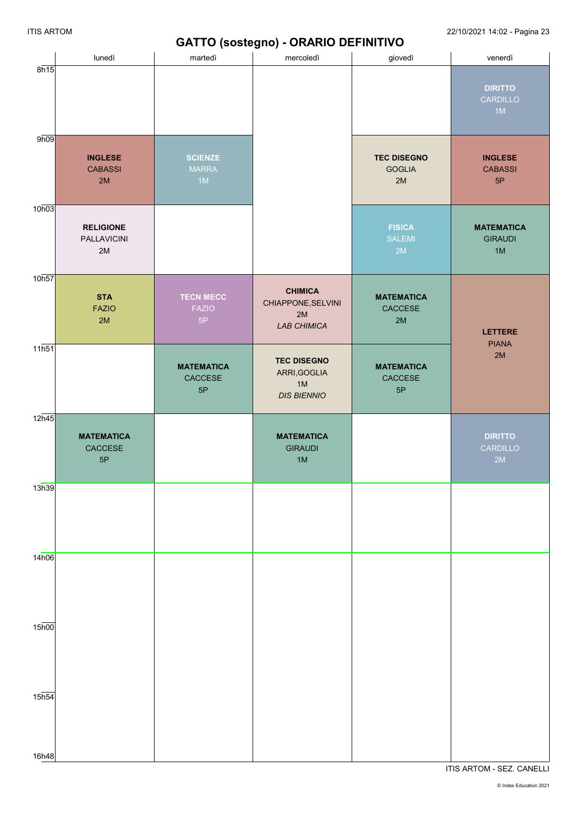# **GATTO (sostegno) - ORARIO DEFINITIVO**

|                             | lunedì                                 | - 1 - - - - - <del>U</del><br>martedì  | $\mathbf{r}$<br>mercoledì                                        | giovedì                                   | venerdì                                   |
|-----------------------------|----------------------------------------|----------------------------------------|------------------------------------------------------------------|-------------------------------------------|-------------------------------------------|
| 8h15                        |                                        |                                        |                                                                  |                                           | <b>DIRITTO</b><br>CARDILLO<br>1M          |
| 9h09                        | <b>INGLESE</b><br><b>CABASSI</b><br>2M | <b>SCIENZE</b><br><b>MARRA</b><br>1M   |                                                                  | <b>TEC DISEGNO</b><br><b>GOGLIA</b><br>2M | <b>INGLESE</b><br><b>CABASSI</b><br>5P    |
| 10h03                       | <b>RELIGIONE</b><br>PALLAVICINI<br>2M  |                                        |                                                                  | <b>FISICA</b><br><b>SALEMI</b><br>2M      | <b>MATEMATICA</b><br><b>GIRAUDI</b><br>1M |
| 10h57                       | <b>STA</b><br><b>FAZIO</b><br>2M       | <b>TECN MECC</b><br><b>FAZIO</b><br>5P | <b>CHIMICA</b><br>CHIAPPONE, SELVINI<br>2M<br>LAB CHIMICA        | <b>MATEMATICA</b><br>CACCESE<br>2M        | <b>LETTERE</b><br><b>PIANA</b>            |
| $11\overline{h51}$          |                                        | <b>MATEMATICA</b><br>CACCESE<br>5P     | <b>TEC DISEGNO</b><br>ARRI, GOGLIA<br>$1M$<br><b>DIS BIENNIO</b> | <b>MATEMATICA</b><br>CACCESE<br>5P        | 2M                                        |
| 12 <sub>h45</sub>           | <b>MATEMATICA</b><br>CACCESE<br>5P     |                                        | <b>MATEMATICA</b><br><b>GIRAUDI</b><br>1M                        |                                           | <b>DIRITTO</b><br>CARDILLO<br>2M          |
| 13h39                       |                                        |                                        |                                                                  |                                           |                                           |
| 14h06                       |                                        |                                        |                                                                  |                                           |                                           |
| $15\overline{h00}$          |                                        |                                        |                                                                  |                                           |                                           |
| $15\overline{h54}$<br>16h48 |                                        |                                        |                                                                  |                                           |                                           |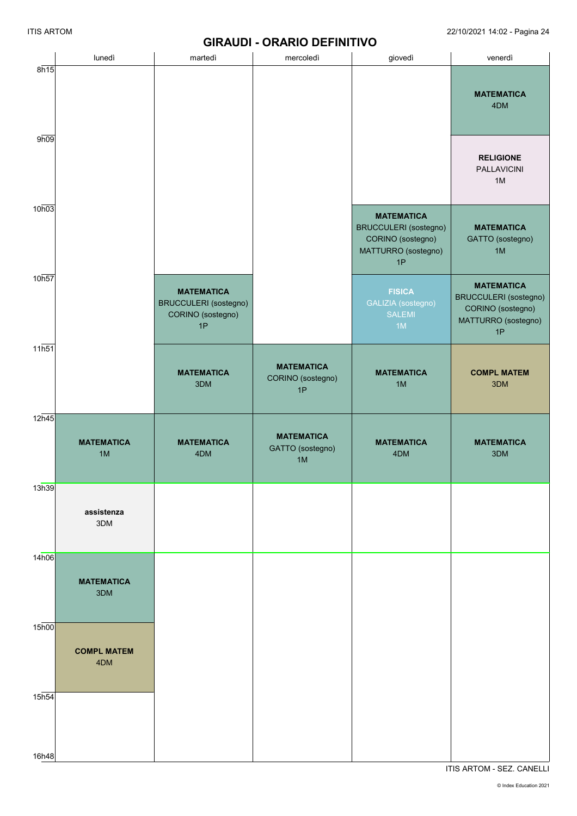### **GIRAUDI - ORARIO DEFINITIVO**

|                    | lunedì                    | martedì                                                               | mercoledì                                    | giovedì                                                                                      | venerdì                                                                                             |
|--------------------|---------------------------|-----------------------------------------------------------------------|----------------------------------------------|----------------------------------------------------------------------------------------------|-----------------------------------------------------------------------------------------------------|
| 8h15               |                           |                                                                       |                                              |                                                                                              | <b>MATEMATICA</b><br>4DM                                                                            |
| 9h09               |                           |                                                                       |                                              |                                                                                              | <b>RELIGIONE</b><br><b>PALLAVICINI</b><br>1M                                                        |
| 10h03              |                           |                                                                       |                                              | <b>MATEMATICA</b><br>BRUCCULERI (sostegno)<br>CORINO (sostegno)<br>MATTURRO (sostegno)<br>1P | <b>MATEMATICA</b><br>GATTO (sostegno)<br>1M                                                         |
| 10h57              |                           | <b>MATEMATICA</b><br>BRUCCULERI (sostegno)<br>CORINO (sostegno)<br>1P |                                              | <b>FISICA</b><br>GALIZIA (sostegno)<br><b>SALEMI</b><br>1M                                   | <b>MATEMATICA</b><br><b>BRUCCULERI</b> (sostegno)<br>CORINO (sostegno)<br>MATTURRO (sostegno)<br>1P |
| 11h51              |                           | <b>MATEMATICA</b><br>3DM                                              | <b>MATEMATICA</b><br>CORINO (sostegno)<br>1P | <b>MATEMATICA</b><br>1M                                                                      | <b>COMPL MATEM</b><br>3DM                                                                           |
| $12\overline{h45}$ | <b>MATEMATICA</b><br>1M   | <b>MATEMATICA</b><br>4DM                                              | <b>MATEMATICA</b><br>GATTO (sostegno)<br>1M  | <b>MATEMATICA</b><br>4DM                                                                     | <b>MATEMATICA</b><br>3DM                                                                            |
| 13h39              | assistenza<br>3DM         |                                                                       |                                              |                                                                                              |                                                                                                     |
| 14h06              | <b>MATEMATICA</b><br>3DM  |                                                                       |                                              |                                                                                              |                                                                                                     |
| 15 <sub>h00</sub>  | <b>COMPL MATEM</b><br>4DM |                                                                       |                                              |                                                                                              |                                                                                                     |
| 15 <sub>h54</sub>  |                           |                                                                       |                                              |                                                                                              |                                                                                                     |
| 16h48              |                           |                                                                       |                                              |                                                                                              |                                                                                                     |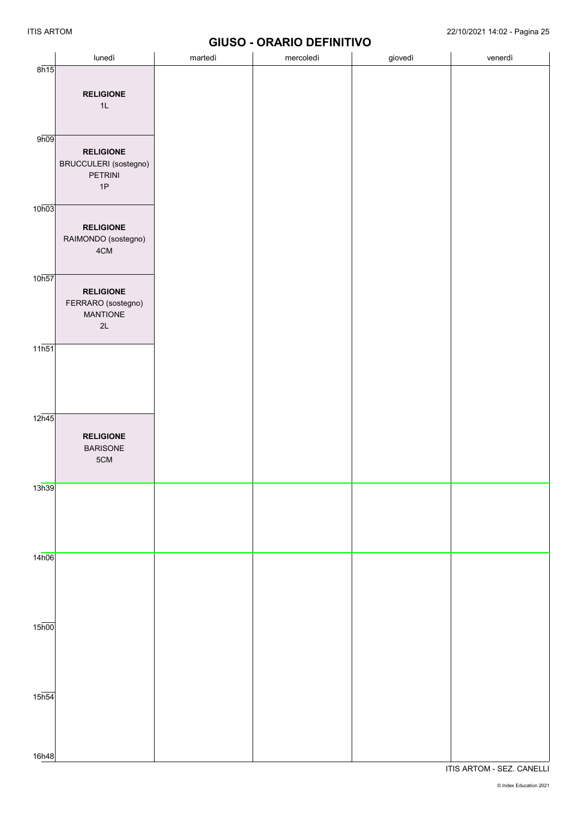# **GIUSO - ORARIO DEFINITIVO**

|                    |                       |         | <b>PRODUCT DESIGNATION</b> |         |         |
|--------------------|-----------------------|---------|----------------------------|---------|---------|
|                    | lunedì                | martedì | mercoledì                  | giovedì | venerdì |
| 8h15               |                       |         |                            |         |         |
|                    |                       |         |                            |         |         |
|                    | <b>RELIGIONE</b>      |         |                            |         |         |
|                    | 1L                    |         |                            |         |         |
|                    |                       |         |                            |         |         |
|                    |                       |         |                            |         |         |
|                    |                       |         |                            |         |         |
| 9h09               |                       |         |                            |         |         |
|                    | <b>RELIGIONE</b>      |         |                            |         |         |
|                    | BRUCCULERI (sostegno) |         |                            |         |         |
|                    |                       |         |                            |         |         |
|                    | PETRINI               |         |                            |         |         |
|                    | 1P                    |         |                            |         |         |
|                    |                       |         |                            |         |         |
| 10h03              |                       |         |                            |         |         |
|                    |                       |         |                            |         |         |
|                    | <b>RELIGIONE</b>      |         |                            |         |         |
|                    | RAIMONDO (sostegno)   |         |                            |         |         |
|                    | $4\mathrm{CM}$        |         |                            |         |         |
|                    |                       |         |                            |         |         |
|                    |                       |         |                            |         |         |
| 10h57              |                       |         |                            |         |         |
|                    | <b>RELIGIONE</b>      |         |                            |         |         |
|                    |                       |         |                            |         |         |
|                    | FERRARO (sostegno)    |         |                            |         |         |
|                    | <b>MANTIONE</b>       |         |                            |         |         |
|                    | $2\mathsf{L}$         |         |                            |         |         |
|                    |                       |         |                            |         |         |
| $11\overline{h51}$ |                       |         |                            |         |         |
|                    |                       |         |                            |         |         |
|                    |                       |         |                            |         |         |
|                    |                       |         |                            |         |         |
|                    |                       |         |                            |         |         |
|                    |                       |         |                            |         |         |
|                    |                       |         |                            |         |         |
| $12\overline{h45}$ |                       |         |                            |         |         |
|                    |                       |         |                            |         |         |
|                    | <b>RELIGIONE</b>      |         |                            |         |         |
|                    | <b>BARISONE</b>       |         |                            |         |         |
|                    | $5{\rm CM}$           |         |                            |         |         |
|                    |                       |         |                            |         |         |
|                    |                       |         |                            |         |         |
| 13h39              |                       |         |                            |         |         |
|                    |                       |         |                            |         |         |
|                    |                       |         |                            |         |         |
|                    |                       |         |                            |         |         |
|                    |                       |         |                            |         |         |
|                    |                       |         |                            |         |         |
|                    |                       |         |                            |         |         |
| 14h06              |                       |         |                            |         |         |
|                    |                       |         |                            |         |         |
|                    |                       |         |                            |         |         |
|                    |                       |         |                            |         |         |
|                    |                       |         |                            |         |         |
|                    |                       |         |                            |         |         |
|                    |                       |         |                            |         |         |
| $15\overline{h00}$ |                       |         |                            |         |         |
|                    |                       |         |                            |         |         |
|                    |                       |         |                            |         |         |
|                    |                       |         |                            |         |         |
|                    |                       |         |                            |         |         |
|                    |                       |         |                            |         |         |
|                    |                       |         |                            |         |         |
| 15 <sub>h54</sub>  |                       |         |                            |         |         |
|                    |                       |         |                            |         |         |
|                    |                       |         |                            |         |         |
|                    |                       |         |                            |         |         |
|                    |                       |         |                            |         |         |
|                    |                       |         |                            |         |         |
| 16h48              |                       |         |                            |         |         |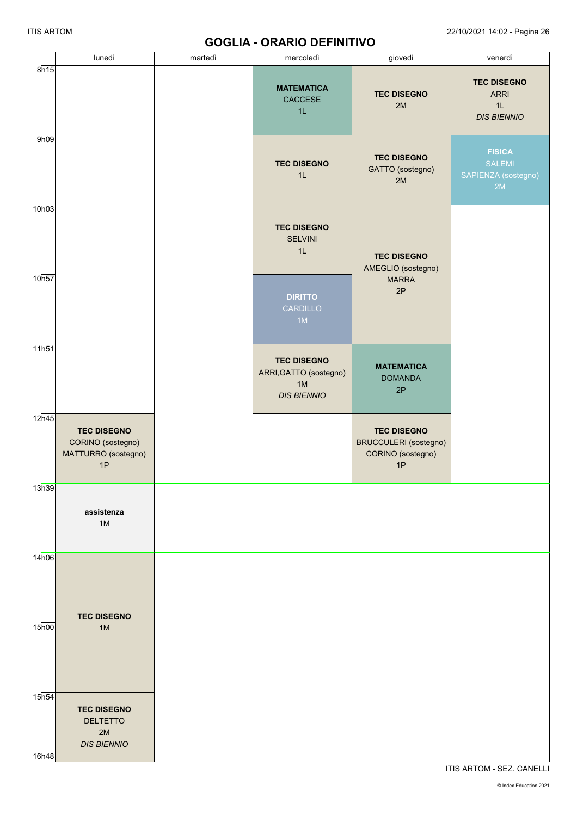## **GOGLIA - ORARIO DEFINITIVO**

|                            | lunedì                                                               | martedì | <u>99966 - 910910 PEL 1111 I I V</u><br>mercoledì                        | giovedì                                                                       | venerdì                                                       |
|----------------------------|----------------------------------------------------------------------|---------|--------------------------------------------------------------------------|-------------------------------------------------------------------------------|---------------------------------------------------------------|
| 8h15                       |                                                                      |         | <b>MATEMATICA</b><br>CACCESE<br>1L                                       | <b>TEC DISEGNO</b><br>2M                                                      | <b>TEC DISEGNO</b><br><b>ARRI</b><br>1L<br><b>DIS BIENNIO</b> |
| 9h09                       |                                                                      |         | <b>TEC DISEGNO</b><br>1L                                                 | <b>TEC DISEGNO</b><br>GATTO (sostegno)<br>2M                                  | <b>FISICA</b><br><b>SALEMI</b><br>SAPIENZA (sostegno)<br>2M   |
| 10h03                      |                                                                      |         | <b>TEC DISEGNO</b><br><b>SELVINI</b><br>1L                               | <b>TEC DISEGNO</b><br>AMEGLIO (sostegno)                                      |                                                               |
| 10h57                      |                                                                      |         | <b>DIRITTO</b><br>CARDILLO<br>1M                                         | <b>MARRA</b><br>2P                                                            |                                                               |
| $11\overline{h51}$         |                                                                      |         | <b>TEC DISEGNO</b><br>ARRI, GATTO (sostegno)<br>1M<br><b>DIS BIENNIO</b> | <b>MATEMATICA</b><br><b>DOMANDA</b><br>2P                                     |                                                               |
| 12h45                      | <b>TEC DISEGNO</b><br>CORINO (sostegno)<br>MATTURRO (sostegno)<br>1P |         |                                                                          | <b>TEC DISEGNO</b><br><b>BRUCCULERI</b> (sostegno)<br>CORINO (sostegno)<br>1P |                                                               |
| 13h39                      | assistenza<br>$1M$                                                   |         |                                                                          |                                                                               |                                                               |
| 14h06                      | <b>TEC DISEGNO</b>                                                   |         |                                                                          |                                                                               |                                                               |
| 15 <sub>h00</sub>          | 1M                                                                   |         |                                                                          |                                                                               |                                                               |
| 15 <sub>h54</sub><br>16h48 | <b>TEC DISEGNO</b><br><b>DELTETTO</b><br>2M<br><b>DIS BIENNIO</b>    |         |                                                                          |                                                                               |                                                               |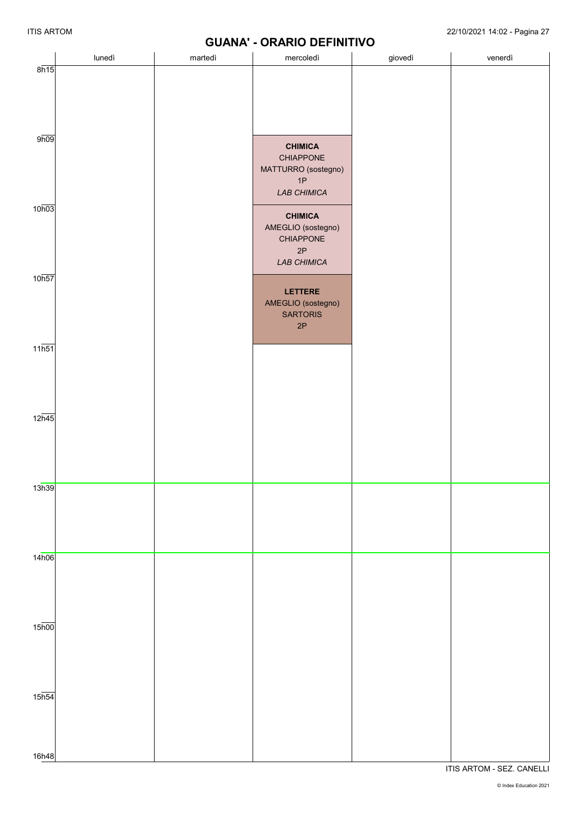# **GUANA' - ORARIO DEFINITIVO**

|                             |        |         | <b>UUAINA - UKAKIU LEFINITIVU</b>                                       |         |         |
|-----------------------------|--------|---------|-------------------------------------------------------------------------|---------|---------|
|                             | lunedì | martedì | mercoledì                                                               | giovedì | venerdì |
| 8h15                        |        |         |                                                                         |         |         |
| 9h09                        |        |         | <b>CHIMICA</b><br>CHIAPPONE<br>MATTURRO (sostegno)<br>1P<br>LAB CHIMICA |         |         |
| 10h03                       |        |         | <b>CHIMICA</b><br>AMEGLIO (sostegno)<br>CHIAPPONE<br>2P<br>LAB CHIMICA  |         |         |
| 10h57                       |        |         | LETTERE<br>AMEGLIO (sostegno)<br><b>SARTORIS</b><br>2P                  |         |         |
| $11\overline{h51}$          |        |         |                                                                         |         |         |
| 12h45                       |        |         |                                                                         |         |         |
| 13h39                       |        |         |                                                                         |         |         |
| 14h06                       |        |         |                                                                         |         |         |
| $15\overline{h00}$          |        |         |                                                                         |         |         |
| $15\overline{h54}$<br>16h48 |        |         |                                                                         |         |         |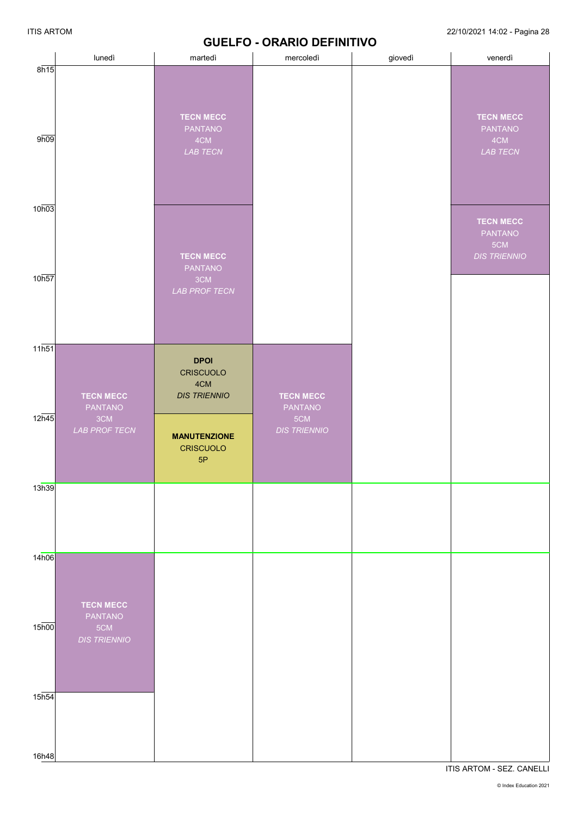|                            | lunedì                             | martedì                                                | mercoledì                   | giovedì | venerdì                                                          |
|----------------------------|------------------------------------|--------------------------------------------------------|-----------------------------|---------|------------------------------------------------------------------|
| 8h15<br>9h09               |                                    | <b>TECN MECC</b><br><b>PANTANO</b><br>4CM<br>LAB TECN  |                             |         | <b>TECN MECC</b><br>PANTANO<br>4CM<br>LAB TECN                   |
| 10h03                      |                                    | <b>TECN MECC</b>                                       |                             |         | <b>TECN MECC</b><br><b>PANTANO</b><br>5CM<br><b>DIS TRIENNIO</b> |
| 10h57                      |                                    | <b>PANTANO</b><br>3CM<br><b>LAB PROF TECN</b>          |                             |         |                                                                  |
| 11h51<br>12h45             | <b>TECN MECC</b><br><b>PANTANO</b> | <b>DPOI</b><br>CRISCUOLO<br>4CM<br><b>DIS TRIENNIO</b> | <b>TECN MECC</b><br>PANTANO |         |                                                                  |
|                            | 3CM<br><b>LAB PROF TECN</b>        | <b>MANUTENZIONE</b><br><b>CRISCUOLO</b><br>5P          | 5CM<br><b>DIS TRIENNIO</b>  |         |                                                                  |
| 13h39                      |                                    |                                                        |                             |         |                                                                  |
| 14h06                      | <b>TECN MECC</b><br><b>PANTANO</b> |                                                        |                             |         |                                                                  |
| $15\overline{h00}$         | 5CM<br><b>DIS TRIENNIO</b>         |                                                        |                             |         |                                                                  |
| 15 <sub>h54</sub><br>16h48 |                                    |                                                        |                             |         |                                                                  |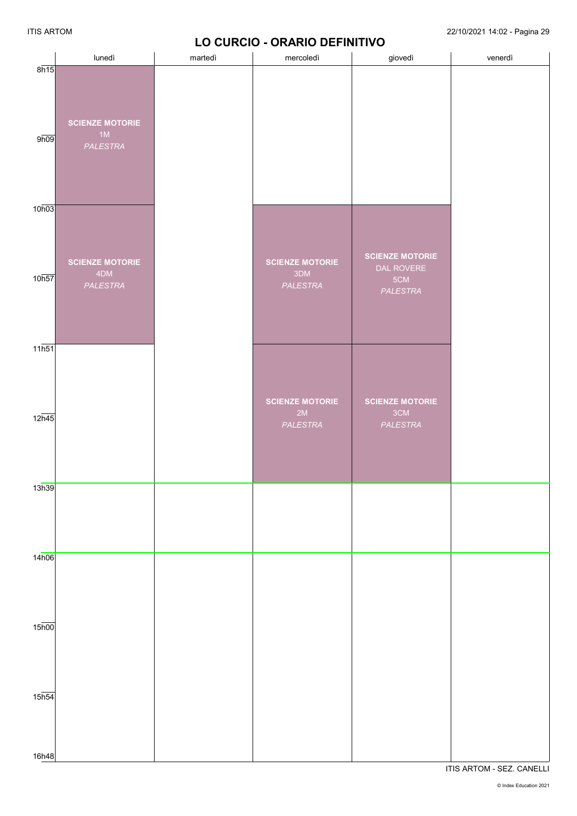## **LO CURCIO - ORARIO DEFINITIVO**

|                                          | lunedì                                    | martedì | mercoledì                                 | giovedì                                                 | venerdì |
|------------------------------------------|-------------------------------------------|---------|-------------------------------------------|---------------------------------------------------------|---------|
| 8h15<br>9h09                             | <b>SCIENZE MOTORIE</b><br>1M<br>PALESTRA  |         |                                           |                                                         |         |
| 10h03                                    |                                           |         |                                           |                                                         |         |
| 10h57                                    | <b>SCIENZE MOTORIE</b><br>4DM<br>PALESTRA |         | <b>SCIENZE MOTORIE</b><br>3DM<br>PALESTRA | <b>SCIENZE MOTORIE</b><br>DAL ROVERE<br>5CM<br>PALESTRA |         |
| $11\overline{h51}$                       |                                           |         |                                           |                                                         |         |
| 12h45                                    |                                           |         | <b>SCIENZE MOTORIE</b><br>2M<br>PALESTRA  | <b>SCIENZE MOTORIE</b><br>3CM<br>PALESTRA               |         |
| 13h39                                    |                                           |         |                                           |                                                         |         |
| 14h06                                    |                                           |         |                                           |                                                         |         |
|                                          |                                           |         |                                           |                                                         |         |
| $15\overline{h00}$<br>$15\overline{h54}$ |                                           |         |                                           |                                                         |         |
| 16h48                                    |                                           |         |                                           |                                                         |         |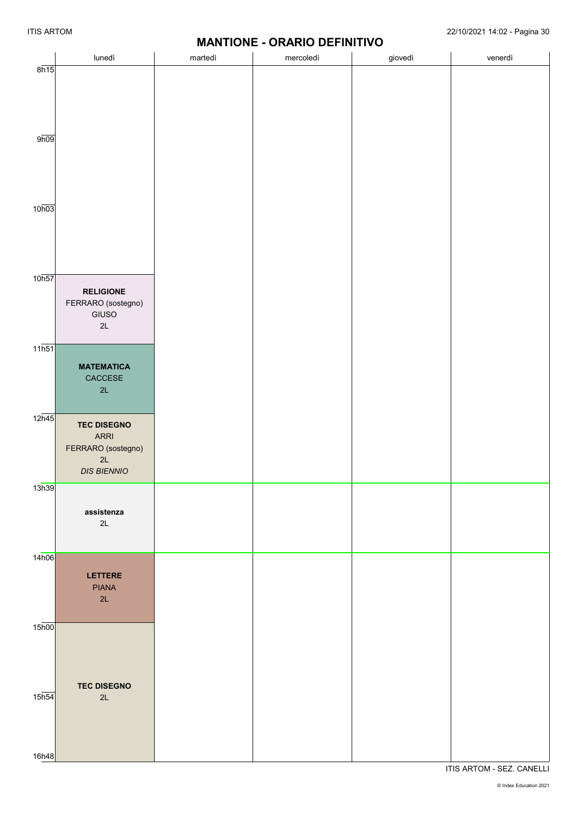# **MANTIONE - ORARIO DEFINITIVO**

|                    |                    | $M$ $N$ $N$ $N$ $N$ $N$ $N$ |           |         |         |
|--------------------|--------------------|-----------------------------|-----------|---------|---------|
|                    | lunedì             | martedì                     | mercoledì | giovedì | venerdì |
| 8h15               |                    |                             |           |         |         |
|                    |                    |                             |           |         |         |
|                    |                    |                             |           |         |         |
|                    |                    |                             |           |         |         |
|                    |                    |                             |           |         |         |
|                    |                    |                             |           |         |         |
|                    |                    |                             |           |         |         |
| 9h09               |                    |                             |           |         |         |
|                    |                    |                             |           |         |         |
|                    |                    |                             |           |         |         |
|                    |                    |                             |           |         |         |
|                    |                    |                             |           |         |         |
|                    |                    |                             |           |         |         |
| 10h03              |                    |                             |           |         |         |
|                    |                    |                             |           |         |         |
|                    |                    |                             |           |         |         |
|                    |                    |                             |           |         |         |
|                    |                    |                             |           |         |         |
|                    |                    |                             |           |         |         |
| 10 <sub>h57</sub>  |                    |                             |           |         |         |
|                    |                    |                             |           |         |         |
|                    | <b>RELIGIONE</b>   |                             |           |         |         |
|                    | FERRARO (sostegno) |                             |           |         |         |
|                    | GIUSO              |                             |           |         |         |
|                    | 2L                 |                             |           |         |         |
|                    |                    |                             |           |         |         |
| $11\overline{h51}$ |                    |                             |           |         |         |
|                    |                    |                             |           |         |         |
|                    | <b>MATEMATICA</b>  |                             |           |         |         |
|                    | CACCESE            |                             |           |         |         |
|                    | 2L                 |                             |           |         |         |
|                    |                    |                             |           |         |         |
| 12 <sub>h45</sub>  |                    |                             |           |         |         |
|                    | <b>TEC DISEGNO</b> |                             |           |         |         |
|                    | ARRI               |                             |           |         |         |
|                    | FERRARO (sostegno) |                             |           |         |         |
|                    | 2L                 |                             |           |         |         |
|                    | <b>DIS BIENNIO</b> |                             |           |         |         |
| 13h39              |                    |                             |           |         |         |
|                    |                    |                             |           |         |         |
|                    |                    |                             |           |         |         |
|                    | assistenza         |                             |           |         |         |
|                    | 2L                 |                             |           |         |         |
|                    |                    |                             |           |         |         |
|                    |                    |                             |           |         |         |
| 14h06              |                    |                             |           |         |         |
|                    | <b>LETTERE</b>     |                             |           |         |         |
|                    |                    |                             |           |         |         |
|                    | <b>PIANA</b>       |                             |           |         |         |
|                    | 2L                 |                             |           |         |         |
|                    |                    |                             |           |         |         |
| 15 <sub>h00</sub>  |                    |                             |           |         |         |
|                    |                    |                             |           |         |         |
|                    |                    |                             |           |         |         |
|                    |                    |                             |           |         |         |
|                    |                    |                             |           |         |         |
|                    | <b>TEC DISEGNO</b> |                             |           |         |         |
| 15 <sub>h54</sub>  |                    |                             |           |         |         |
|                    | 2L                 |                             |           |         |         |
|                    |                    |                             |           |         |         |
|                    |                    |                             |           |         |         |
|                    |                    |                             |           |         |         |
|                    |                    |                             |           |         |         |
| 16h48              |                    |                             |           |         |         |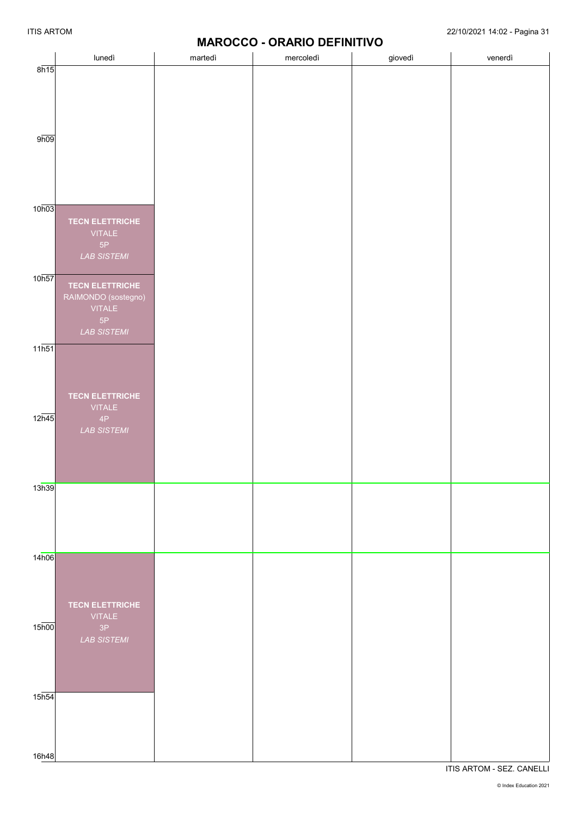# **MAROCCO - ORARIO DEFINITIVO**

|                           | lunedì                              | <b>1817 W.A.</b><br>martedì | mercoledì | .<br>giovedì | venerdì |
|---------------------------|-------------------------------------|-----------------------------|-----------|--------------|---------|
| 8h15                      |                                     |                             |           |              |         |
|                           |                                     |                             |           |              |         |
|                           |                                     |                             |           |              |         |
|                           |                                     |                             |           |              |         |
|                           |                                     |                             |           |              |         |
|                           |                                     |                             |           |              |         |
| 9h09                      |                                     |                             |           |              |         |
|                           |                                     |                             |           |              |         |
|                           |                                     |                             |           |              |         |
|                           |                                     |                             |           |              |         |
|                           |                                     |                             |           |              |         |
| 10h03                     |                                     |                             |           |              |         |
|                           | <b>TECN ELETTRICHE</b>              |                             |           |              |         |
|                           | <b>VITALE</b>                       |                             |           |              |         |
|                           | 5P                                  |                             |           |              |         |
|                           | <b>LAB SISTEMI</b>                  |                             |           |              |         |
|                           |                                     |                             |           |              |         |
| 10h57                     | <b>TECN ELETTRICHE</b>              |                             |           |              |         |
|                           | RAIMONDO (sostegno)                 |                             |           |              |         |
|                           | <b>VITALE</b>                       |                             |           |              |         |
|                           | 5P                                  |                             |           |              |         |
|                           | <b>LAB SISTEMI</b>                  |                             |           |              |         |
| $11\overline{\text{h}51}$ |                                     |                             |           |              |         |
|                           |                                     |                             |           |              |         |
|                           |                                     |                             |           |              |         |
|                           |                                     |                             |           |              |         |
|                           | <b>TECN ELETTRICHE</b>              |                             |           |              |         |
| $12\overline{h45}$        | <b>VITALE</b>                       |                             |           |              |         |
|                           | $4\mathsf{P}$<br><b>LAB SISTEMI</b> |                             |           |              |         |
|                           |                                     |                             |           |              |         |
|                           |                                     |                             |           |              |         |
|                           |                                     |                             |           |              |         |
|                           |                                     |                             |           |              |         |
| 13h39                     |                                     |                             |           |              |         |
|                           |                                     |                             |           |              |         |
|                           |                                     |                             |           |              |         |
|                           |                                     |                             |           |              |         |
|                           |                                     |                             |           |              |         |
| 14h06                     |                                     |                             |           |              |         |
|                           |                                     |                             |           |              |         |
|                           |                                     |                             |           |              |         |
|                           |                                     |                             |           |              |         |
|                           | <b>TECN ELETTRICHE</b>              |                             |           |              |         |
|                           | <b>VITALE</b>                       |                             |           |              |         |
| $15\overline{h00}$        | 3P                                  |                             |           |              |         |
|                           | <b>LAB SISTEMI</b>                  |                             |           |              |         |
|                           |                                     |                             |           |              |         |
|                           |                                     |                             |           |              |         |
|                           |                                     |                             |           |              |         |
| 15 <sub>h54</sub>         |                                     |                             |           |              |         |
|                           |                                     |                             |           |              |         |
|                           |                                     |                             |           |              |         |
|                           |                                     |                             |           |              |         |
|                           |                                     |                             |           |              |         |
| 16h48                     |                                     |                             |           |              |         |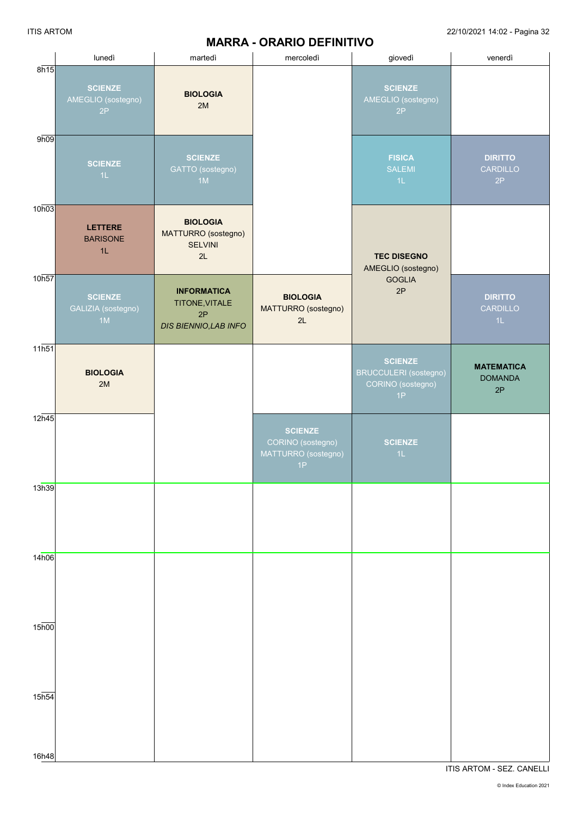#### ITIS ARTOM 22/10/2021 14:02 - Pagina 32

# **MARRA - ORARIO DEFINITIVO**

|                            | lunedì                                     | martedì                                                                    | mercoledì                                                        | giovedì                                                            | venerdì                                   |
|----------------------------|--------------------------------------------|----------------------------------------------------------------------------|------------------------------------------------------------------|--------------------------------------------------------------------|-------------------------------------------|
| 8h15                       | <b>SCIENZE</b><br>AMEGLIO (sostegno)<br>2P | <b>BIOLOGIA</b><br>2M                                                      |                                                                  | <b>SCIENZE</b><br>AMEGLIO (sostegno)<br>2P                         |                                           |
| 9h09                       | <b>SCIENZE</b><br>1L                       | <b>SCIENZE</b><br>GATTO (sostegno)<br>1M                                   |                                                                  | <b>FISICA</b><br><b>SALEMI</b><br>1L                               | <b>DIRITTO</b><br><b>CARDILLO</b><br>2P   |
| 10h03                      | <b>LETTERE</b><br><b>BARISONE</b><br>1L    | <b>BIOLOGIA</b><br>MATTURRO (sostegno)<br><b>SELVINI</b><br>2L             |                                                                  | <b>TEC DISEGNO</b><br>AMEGLIO (sostegno)                           |                                           |
| 10h57                      | <b>SCIENZE</b><br>GALIZIA (sostegno)<br>1M | <b>INFORMATICA</b><br>TITONE, VITALE<br>2P<br><b>DIS BIENNIO, LAB INFO</b> | <b>BIOLOGIA</b><br>MATTURRO (sostegno)<br>2L                     | <b>GOGLIA</b><br>2P                                                | <b>DIRITTO</b><br><b>CARDILLO</b><br>1L   |
| $11\overline{h51}$         | <b>BIOLOGIA</b><br>2M                      |                                                                            |                                                                  | <b>SCIENZE</b><br>BRUCCULERI (sostegno)<br>CORINO (sostegno)<br>1P | <b>MATEMATICA</b><br><b>DOMANDA</b><br>2P |
| 12h45                      |                                            |                                                                            | <b>SCIENZE</b><br>CORINO (sostegno)<br>MATTURRO (sostegno)<br>1P | <b>SCIENZE</b><br>1L                                               |                                           |
| 13h39                      |                                            |                                                                            |                                                                  |                                                                    |                                           |
| 14h06                      |                                            |                                                                            |                                                                  |                                                                    |                                           |
| 15 <sub>h00</sub>          |                                            |                                                                            |                                                                  |                                                                    |                                           |
| 15 <sub>h54</sub><br>16h48 |                                            |                                                                            |                                                                  |                                                                    |                                           |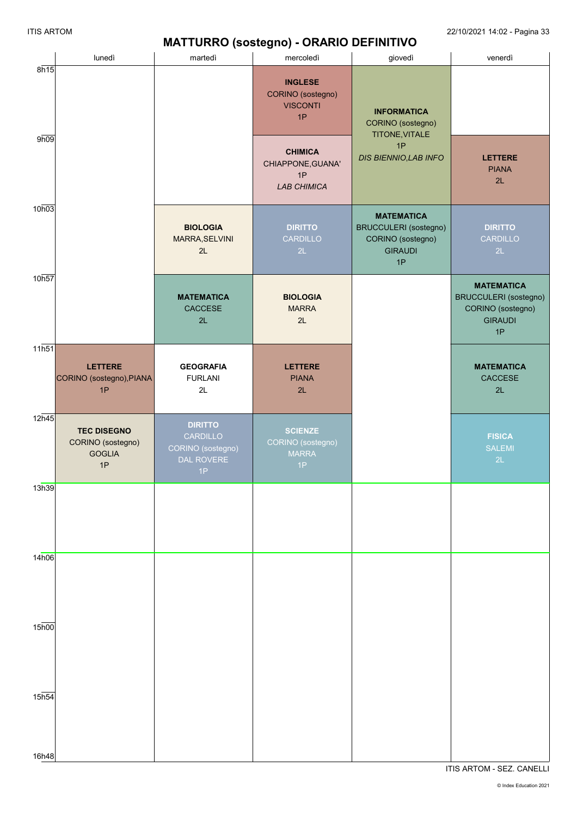#### **MATTURRO (sostegno) - ORARIO DEFINITIVO**

|                    |                                                                |                                                                     | $MATI UNNU (SUSUYIIIU) - UNNIU UETIIVIIIVU$                     |                                                                                                |                                                                                                |
|--------------------|----------------------------------------------------------------|---------------------------------------------------------------------|-----------------------------------------------------------------|------------------------------------------------------------------------------------------------|------------------------------------------------------------------------------------------------|
|                    | lunedì                                                         | martedì                                                             | mercoledì                                                       | giovedì                                                                                        | venerdì                                                                                        |
| 8h15               |                                                                |                                                                     | <b>INGLESE</b><br>CORINO (sostegno)<br><b>VISCONTI</b><br>1P    | <b>INFORMATICA</b><br>CORINO (sostegno)<br>TITONE, VITALE                                      |                                                                                                |
| 9h09               |                                                                |                                                                     | <b>CHIMICA</b><br>CHIAPPONE, GUANA'<br>1P<br><b>LAB CHIMICA</b> | 1P<br><b>DIS BIENNIO, LAB INFO</b>                                                             | <b>LETTERE</b><br><b>PIANA</b><br>2L                                                           |
| 10h03              |                                                                | <b>BIOLOGIA</b><br>MARRA, SELVINI<br>2L                             | <b>DIRITTO</b><br>CARDILLO<br>2L                                | <b>MATEMATICA</b><br><b>BRUCCULERI</b> (sostegno)<br>CORINO (sostegno)<br><b>GIRAUDI</b><br>1P | <b>DIRITTO</b><br>CARDILLO<br>2L                                                               |
| 10h57              |                                                                | <b>MATEMATICA</b><br>CACCESE<br>2L                                  | <b>BIOLOGIA</b><br><b>MARRA</b><br>2L                           |                                                                                                | <b>MATEMATICA</b><br><b>BRUCCULERI</b> (sostegno)<br>CORINO (sostegno)<br><b>GIRAUDI</b><br>1P |
| 11h51              | <b>LETTERE</b><br>CORINO (sostegno), PIANA<br>1P               | <b>GEOGRAFIA</b><br><b>FURLANI</b><br>2L                            | <b>LETTERE</b><br><b>PIANA</b><br>2L                            |                                                                                                | <b>MATEMATICA</b><br>CACCESE<br>2L                                                             |
| 12h45              | <b>TEC DISEGNO</b><br>CORINO (sostegno)<br><b>GOGLIA</b><br>1P | <b>DIRITTO</b><br>CARDILLO<br>CORINO (sostegno)<br>DAL ROVERE<br>1P | <b>SCIENZE</b><br>CORINO (sostegno)<br><b>MARRA</b><br>1P       |                                                                                                | <b>FISICA</b><br><b>SALEMI</b><br>2L                                                           |
| 13h39              |                                                                |                                                                     |                                                                 |                                                                                                |                                                                                                |
| 14h06              |                                                                |                                                                     |                                                                 |                                                                                                |                                                                                                |
| $15\overline{h00}$ |                                                                |                                                                     |                                                                 |                                                                                                |                                                                                                |
| 15h54<br>16h48     |                                                                |                                                                     |                                                                 |                                                                                                |                                                                                                |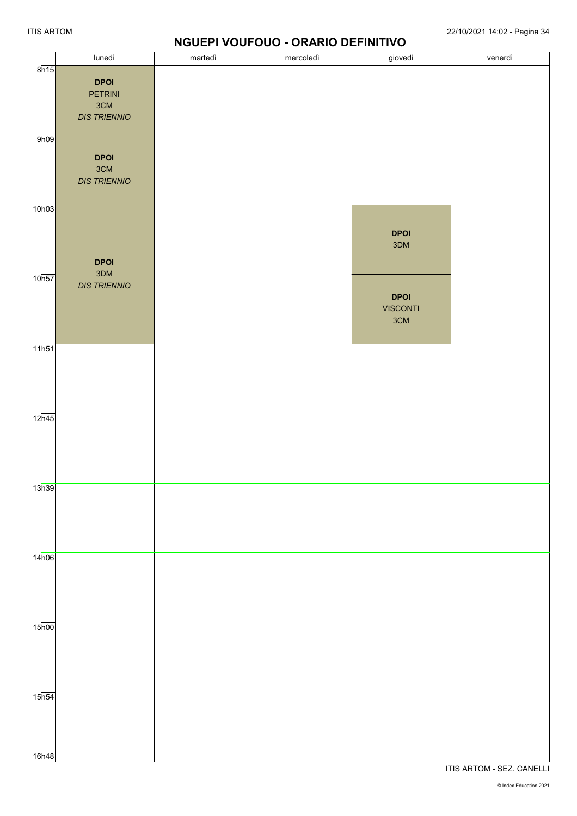## **NGUEPI VOUFOUO - ORARIO DEFINITIVO**

|                    | lunedì                                                      | martedì | mercoledì | giovedì                               | venerdì |
|--------------------|-------------------------------------------------------------|---------|-----------|---------------------------------------|---------|
| 8h15               | <b>DPOI</b><br><b>PETRINI</b><br>3CM<br><b>DIS TRIENNIO</b> |         |           |                                       |         |
| 9h09               | <b>DPOI</b><br>3CM<br><b>DIS TRIENNIO</b>                   |         |           |                                       |         |
| 10h03              | <b>DPOI</b>                                                 |         |           | <b>DPOI</b><br>3DM                    |         |
| 10 <sub>h57</sub>  | 3DM<br><b>DIS TRIENNIO</b>                                  |         |           | <b>DPOI</b><br><b>VISCONTI</b><br>3CM |         |
| $11\overline{h51}$ |                                                             |         |           |                                       |         |
| $12\overline{n45}$ |                                                             |         |           |                                       |         |
| 13h39              |                                                             |         |           |                                       |         |
| 14h06              |                                                             |         |           |                                       |         |
| $15\overline{h00}$ |                                                             |         |           |                                       |         |
| $15\overline{h54}$ |                                                             |         |           |                                       |         |
| 16h48              |                                                             |         |           |                                       |         |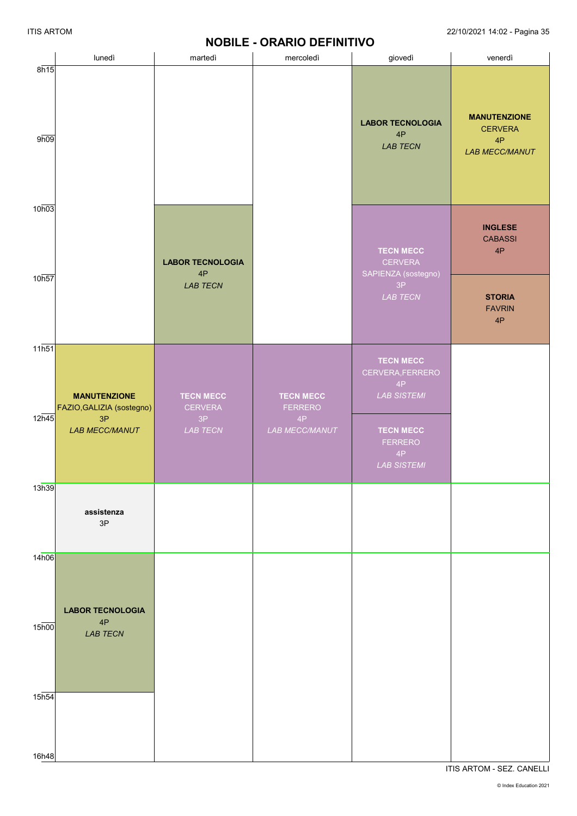# **NOBILE - ORARIO DEFINITIVO**

|                   |                                                        |                                          | <b>NUDILE - URARIU DEFINITIVU</b>        |                                                                  |                                                                      |
|-------------------|--------------------------------------------------------|------------------------------------------|------------------------------------------|------------------------------------------------------------------|----------------------------------------------------------------------|
|                   | lunedì                                                 | martedì                                  | mercoledì                                | giovedì                                                          | venerdì                                                              |
| 8h15<br>9h09      |                                                        |                                          |                                          | <b>LABOR TECNOLOGIA</b><br>$4\mathsf{P}$<br><b>LAB TECN</b>      | <b>MANUTENZIONE</b><br><b>CERVERA</b><br>4P<br><b>LAB MECC/MANUT</b> |
| 10h03             |                                                        | <b>LABOR TECNOLOGIA</b>                  |                                          | <b>TECN MECC</b><br><b>CERVERA</b>                               | <b>INGLESE</b><br><b>CABASSI</b><br>4P                               |
| 10h57             |                                                        | 4P<br><b>LAB TECN</b>                    |                                          | SAPIENZA (sostegno)<br>$3P$<br>LAB TECN                          | <b>STORIA</b><br><b>FAVRIN</b><br>4P                                 |
| 11h51<br>12h45    | <b>MANUTENZIONE</b><br>FAZIO, GALIZIA (sostegno)<br>3P | <b>TECN MECC</b><br><b>CERVERA</b><br>3P | <b>TECN MECC</b><br><b>FERRERO</b><br>4P | <b>TECN MECC</b><br>CERVERA, FERRERO<br>4P<br><b>LAB SISTEMI</b> |                                                                      |
|                   | <b>LAB MECC/MANUT</b>                                  | LAB TECN                                 | LAB MECC/MANUT                           | <b>TECN MECC</b><br><b>FERRERO</b><br>4P<br><b>LAB SISTEMI</b>   |                                                                      |
| 13h39             | assistenza<br>3P                                       |                                          |                                          |                                                                  |                                                                      |
| 14h06             | <b>LABOR TECNOLOGIA</b>                                |                                          |                                          |                                                                  |                                                                      |
| 15 <sub>h00</sub> | 4P<br><b>LAB TECN</b>                                  |                                          |                                          |                                                                  |                                                                      |
| 15 <sub>h54</sub> |                                                        |                                          |                                          |                                                                  |                                                                      |
| 16h48             |                                                        |                                          |                                          |                                                                  |                                                                      |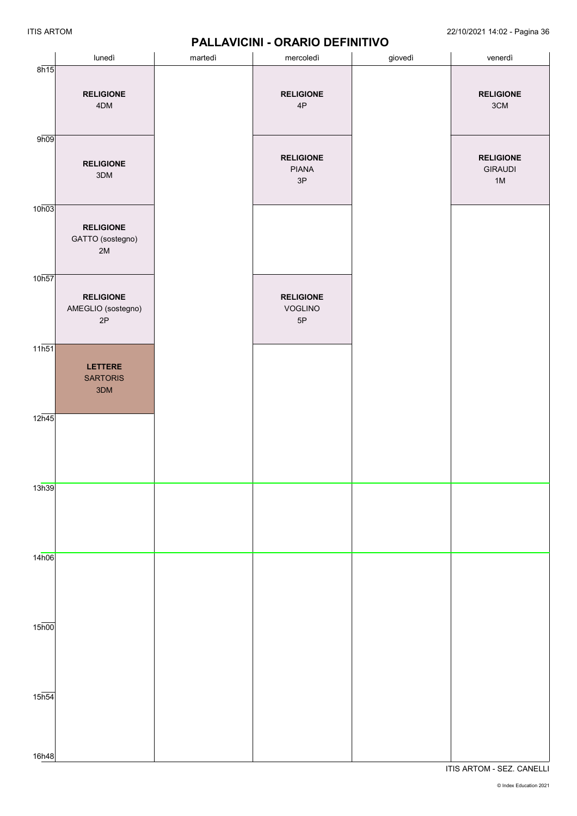|                             | lunedì                                       | martedì | mercoledì                                  | giovedì | venerdì                                  |
|-----------------------------|----------------------------------------------|---------|--------------------------------------------|---------|------------------------------------------|
| 8h15                        | <b>RELIGIONE</b><br>4DM                      |         | <b>RELIGIONE</b><br>$4\mathsf{P}$          |         | <b>RELIGIONE</b><br>$3\mathrm{CM}$       |
| 9h09                        | <b>RELIGIONE</b><br>$3\mathsf{DM}$           |         | <b>RELIGIONE</b><br>PIANA<br>$3\mathsf{P}$ |         | <b>RELIGIONE</b><br><b>GIRAUDI</b><br>1M |
| 10h03                       | <b>RELIGIONE</b><br>GATTO (sostegno)<br>$2M$ |         |                                            |         |                                          |
| 10h57                       | <b>RELIGIONE</b><br>AMEGLIO (sostegno)<br>2P |         | <b>RELIGIONE</b><br>VOGLINO<br>5P          |         |                                          |
| $11\overline{h51}$          | LETTERE<br><b>SARTORIS</b><br>3DM            |         |                                            |         |                                          |
| 12h45                       |                                              |         |                                            |         |                                          |
| 13h39                       |                                              |         |                                            |         |                                          |
| 14h06                       |                                              |         |                                            |         |                                          |
| $15\overline{h00}$          |                                              |         |                                            |         |                                          |
| $15\overline{h54}$<br>16h48 |                                              |         |                                            |         |                                          |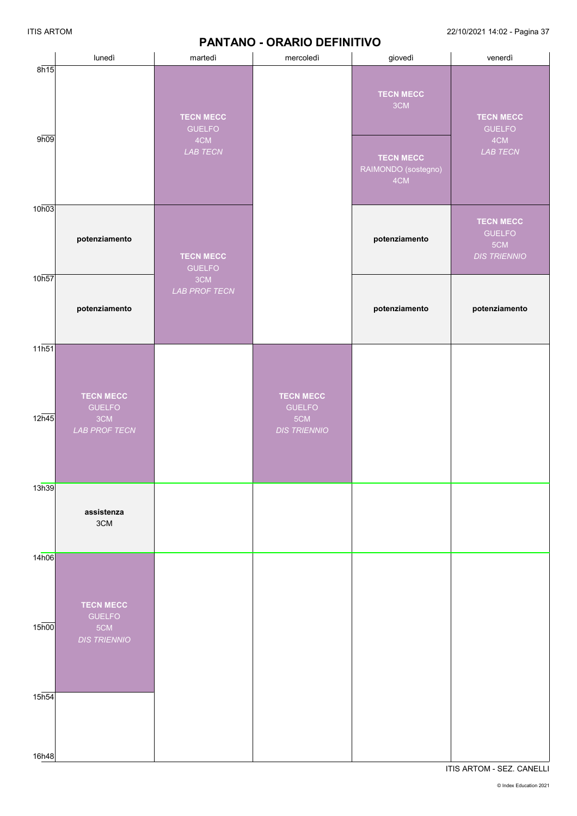#### **PANTANO - ORARIO DEFINITIVO**

ITIS ARTOM 22/10/2021 14:02 - Pagina 37

|                   | lunedì                                                          | martedì                           | mercoledì                                                       | giovedì                                        | venerdì                                                         |
|-------------------|-----------------------------------------------------------------|-----------------------------------|-----------------------------------------------------------------|------------------------------------------------|-----------------------------------------------------------------|
| 8h15              |                                                                 | <b>TECN MECC</b><br><b>GUELFO</b> |                                                                 | <b>TECN MECC</b><br>3CM                        | <b>TECN MECC</b><br><b>GUELFO</b>                               |
| 9h09              |                                                                 | 4CM<br>LAB TECN                   |                                                                 | <b>TECN MECC</b><br>RAIMONDO (sostegno)<br>4CM | 4CM<br>LAB TECN                                                 |
| 10h03             | potenziamento                                                   | <b>TECN MECC</b><br><b>GUELFO</b> |                                                                 | potenziamento                                  | <b>TECN MECC</b><br><b>GUELFO</b><br>5CM<br><b>DIS TRIENNIO</b> |
| 10h57             | potenziamento                                                   | 3CM<br>LAB PROF TECN              |                                                                 | potenziamento                                  | potenziamento                                                   |
| 11h51             |                                                                 |                                   |                                                                 |                                                |                                                                 |
| 12h45             | <b>TECN MECC</b><br><b>GUELFO</b><br>3CM<br>LAB PROF TECN       |                                   | <b>TECN MECC</b><br><b>GUELFO</b><br>5CM<br><b>DIS TRIENNIO</b> |                                                |                                                                 |
| 13h39             |                                                                 |                                   |                                                                 |                                                |                                                                 |
|                   | assistenza<br>3CM                                               |                                   |                                                                 |                                                |                                                                 |
| 14h06             |                                                                 |                                   |                                                                 |                                                |                                                                 |
| 15 <sub>h00</sub> | <b>TECN MECC</b><br><b>GUELFO</b><br>5CM<br><b>DIS TRIENNIO</b> |                                   |                                                                 |                                                |                                                                 |
| 15h54             |                                                                 |                                   |                                                                 |                                                |                                                                 |
| 16h48             |                                                                 |                                   |                                                                 |                                                |                                                                 |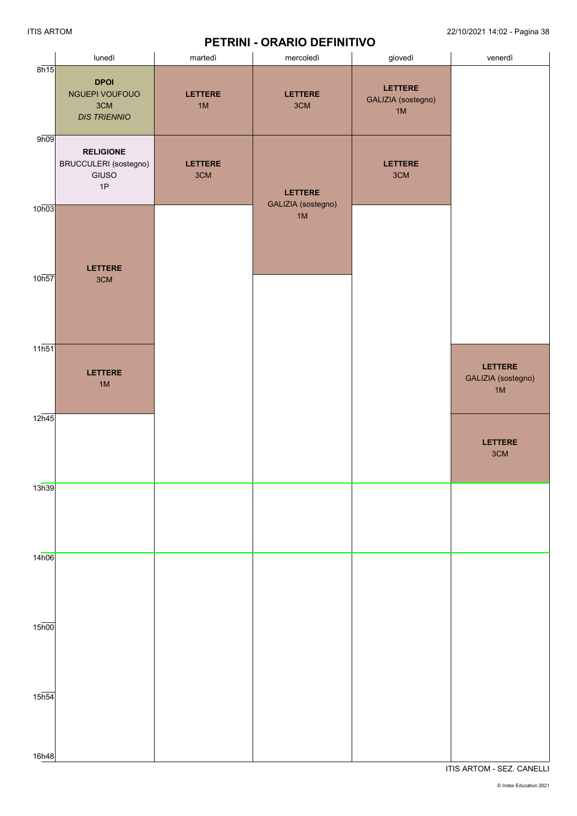### **PETRINI - ORARIO DEFINITIVO**

|                             | lunedì                                                      | martedì               | mercoledì                  | .<br>giovedì                        | venerdì                                    |
|-----------------------------|-------------------------------------------------------------|-----------------------|----------------------------|-------------------------------------|--------------------------------------------|
| 8h15                        | <b>DPOI</b><br>NGUEPI VOUFOUO<br>3CM<br><b>DIS TRIENNIO</b> | <b>LETTERE</b><br>1M  | <b>LETTERE</b><br>3CM      | LETTERE<br>GALIZIA (sostegno)<br>1M |                                            |
| 9h09                        | <b>RELIGIONE</b><br>BRUCCULERI (sostegno)<br>GIUSO<br>1P    | <b>LETTERE</b><br>3CM | <b>LETTERE</b>             | LETTERE<br>3CM                      |                                            |
| 10h03                       | <b>LETTERE</b>                                              |                       | GALIZIA (sostegno)<br>$1M$ |                                     |                                            |
| 10 <sub>h57</sub>           | 3CM                                                         |                       |                            |                                     |                                            |
| 11h51                       | <b>LETTERE</b><br>1M                                        |                       |                            |                                     | <b>LETTERE</b><br>GALIZIA (sostegno)<br>1M |
| 12h45                       |                                                             |                       |                            |                                     | <b>LETTERE</b><br>3CM                      |
| 13h39                       |                                                             |                       |                            |                                     |                                            |
| 14h06                       |                                                             |                       |                            |                                     |                                            |
| $15\overline{h00}$          |                                                             |                       |                            |                                     |                                            |
| $15\overline{h54}$<br>16h48 |                                                             |                       |                            |                                     |                                            |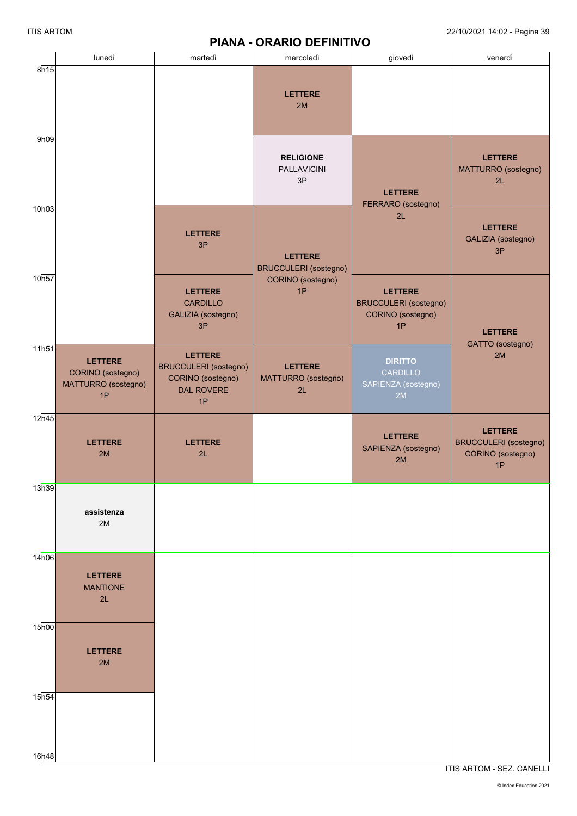# **PIANA - ORARIO DEFINITIVO**

|                   |                                                                  |                                                                                                | <b>FIANA - UNANIU DEFINITIVU</b>               |                                                                           |                                                                           |
|-------------------|------------------------------------------------------------------|------------------------------------------------------------------------------------------------|------------------------------------------------|---------------------------------------------------------------------------|---------------------------------------------------------------------------|
|                   | lunedì                                                           | martedì                                                                                        | mercoledì                                      | giovedì                                                                   | venerdì                                                                   |
| 8h15              |                                                                  |                                                                                                | <b>LETTERE</b><br>2M                           |                                                                           |                                                                           |
| 9h09              |                                                                  |                                                                                                | <b>RELIGIONE</b><br><b>PALLAVICINI</b><br>3P   | <b>LETTERE</b>                                                            | <b>LETTERE</b><br>MATTURRO (sostegno)<br>2L                               |
| 10h03             |                                                                  | <b>LETTERE</b><br>3P                                                                           | <b>LETTERE</b><br><b>BRUCCULERI</b> (sostegno) | FERRARO (sostegno)<br>2L                                                  | <b>LETTERE</b><br>GALIZIA (sostegno)<br>3P                                |
| 10h57             |                                                                  | <b>LETTERE</b><br><b>CARDILLO</b><br>GALIZIA (sostegno)<br>3P                                  | CORINO (sostegno)<br>1P                        | <b>LETTERE</b><br><b>BRUCCULERI</b> (sostegno)<br>CORINO (sostegno)<br>1P | <b>LETTERE</b><br>GATTO (sostegno)                                        |
| 11h51             | <b>LETTERE</b><br>CORINO (sostegno)<br>MATTURRO (sostegno)<br>1P | <b>LETTERE</b><br><b>BRUCCULERI</b> (sostegno)<br>CORINO (sostegno)<br><b>DAL ROVERE</b><br>1P | <b>LETTERE</b><br>MATTURRO (sostegno)<br>2L    | <b>DIRITTO</b><br>CARDILLO<br>SAPIENZA (sostegno)<br>2M                   | 2M                                                                        |
| 12h45             | <b>LETTERE</b><br>2M                                             | <b>LETTERE</b><br>2L                                                                           |                                                | <b>LETTERE</b><br>SAPIENZA (sostegno)<br>2M                               | <b>LETTERE</b><br><b>BRUCCULERI</b> (sostegno)<br>CORINO (sostegno)<br>1P |
| 13h39             | assistenza<br>2M                                                 |                                                                                                |                                                |                                                                           |                                                                           |
| 14h06             | <b>LETTERE</b><br><b>MANTIONE</b><br>2L                          |                                                                                                |                                                |                                                                           |                                                                           |
| 15 <sub>h00</sub> | <b>LETTERE</b><br>2M                                             |                                                                                                |                                                |                                                                           |                                                                           |
| 15h54             |                                                                  |                                                                                                |                                                |                                                                           |                                                                           |
| 16h48             |                                                                  |                                                                                                |                                                |                                                                           |                                                                           |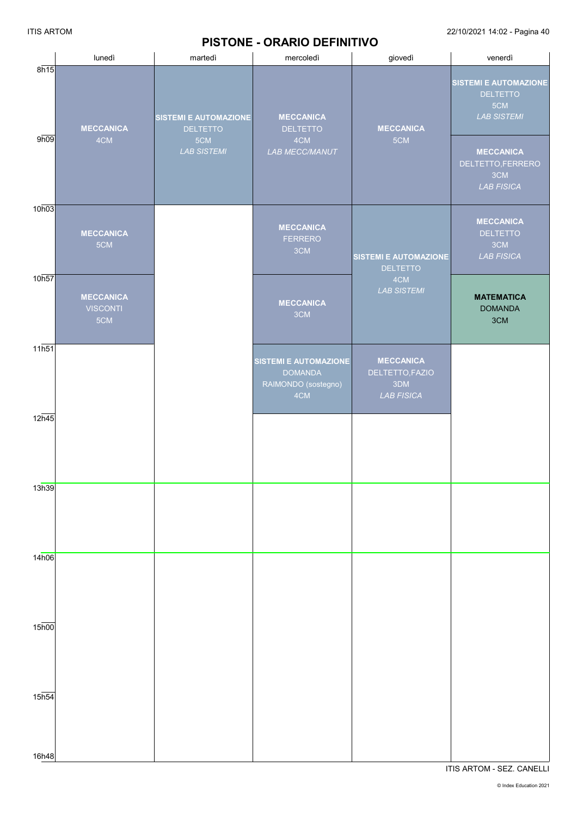# **PISTONE - ORARIO DEFINITIVO**

ITIS ARTOM 22/10/2021 14:02 - Pagina 40

|                    | lunedì                                     | martedì                                         | <b>THREE</b> - CIVAING DEFINITIVO<br>mercoledì                               | giovedì                                                         | venerdì                                                                      |
|--------------------|--------------------------------------------|-------------------------------------------------|------------------------------------------------------------------------------|-----------------------------------------------------------------|------------------------------------------------------------------------------|
| 8h15               | <b>MECCANICA</b>                           | <b>SISTEMI E AUTOMAZIONE</b><br><b>DELTETTO</b> | <b>MECCANICA</b><br><b>DELTETTO</b>                                          | <b>MECCANICA</b>                                                | <b>SISTEMI E AUTOMAZIONE</b><br><b>DELTETTO</b><br>5CM<br><b>LAB SISTEMI</b> |
| 9h09               | 4CM                                        | 5CM<br><b>LAB SISTEMI</b>                       | 4CM<br>LAB MECC/MANUT                                                        | 5CM                                                             | <b>MECCANICA</b><br>DELTETTO, FERRERO<br>3CM<br><b>LAB FISICA</b>            |
| 10h03              | <b>MECCANICA</b><br>5CM                    |                                                 | <b>MECCANICA</b><br><b>FERRERO</b><br>3CM                                    | <b>SISTEMI E AUTOMAZIONE</b><br><b>DELTETTO</b>                 | <b>MECCANICA</b><br><b>DELTETTO</b><br>3CM<br><b>LAB FISICA</b>              |
| 10h57              | <b>MECCANICA</b><br><b>VISCONTI</b><br>5CM |                                                 | <b>MECCANICA</b><br>3CM                                                      | 4CM<br><b>LAB SISTEMI</b>                                       | <b>MATEMATICA</b><br><b>DOMANDA</b><br>3CM                                   |
| $11\overline{h51}$ |                                            |                                                 | <b>SISTEMI E AUTOMAZIONE</b><br><b>DOMANDA</b><br>RAIMONDO (sostegno)<br>4CM | <b>MECCANICA</b><br>DELTETTO, FAZIO<br>3DM<br><b>LAB FISICA</b> |                                                                              |
| 12h45              |                                            |                                                 |                                                                              |                                                                 |                                                                              |
| 13h39              |                                            |                                                 |                                                                              |                                                                 |                                                                              |
| 14h06              |                                            |                                                 |                                                                              |                                                                 |                                                                              |
| $15\overline{h00}$ |                                            |                                                 |                                                                              |                                                                 |                                                                              |
| 15h54              |                                            |                                                 |                                                                              |                                                                 |                                                                              |
| 16h48              |                                            |                                                 |                                                                              |                                                                 |                                                                              |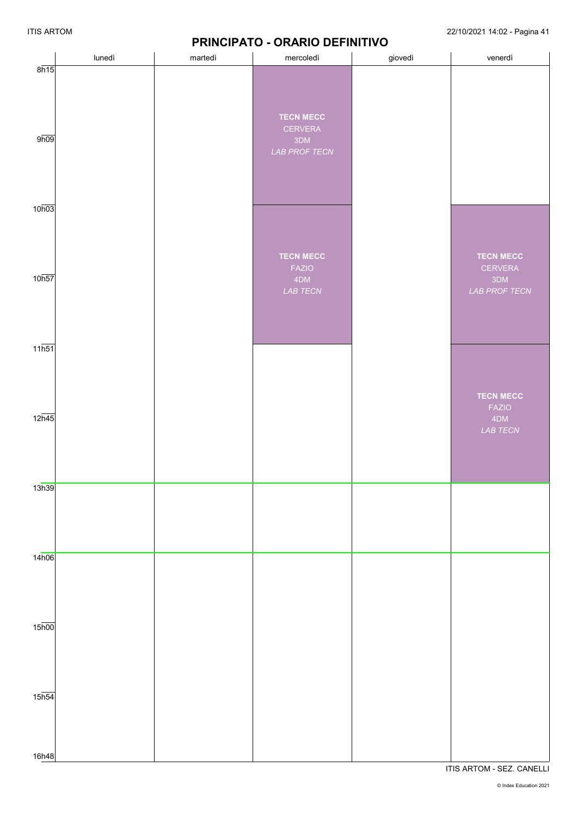## **PRINCIPATO - ORARIO DEFINITIVO**

|                    | lunedì | . .<br>martedì | mercoledì                                           | giovedì | venerdì                                                    |
|--------------------|--------|----------------|-----------------------------------------------------|---------|------------------------------------------------------------|
| 8h15               |        |                |                                                     |         |                                                            |
| 9h09               |        |                | <b>TECN MECC</b><br>CERVERA<br>3DM<br>LAB PROF TECN |         |                                                            |
| 10h03              |        |                |                                                     |         |                                                            |
| 10h57              |        |                | <b>TECN MECC</b><br><b>FAZIO</b><br>4DM<br>LAB TECN |         | <b>TECN MECC</b><br>CERVERA<br>3DM<br><b>LAB PROF TECN</b> |
| 11h51              |        |                |                                                     |         | <b>TECN MECC</b>                                           |
| 12h45              |        |                |                                                     |         | <b>FAZIO</b><br>4DM<br>LAB TECN                            |
| 13h39              |        |                |                                                     |         |                                                            |
| 14h06              |        |                |                                                     |         |                                                            |
| $15\overline{h00}$ |        |                |                                                     |         |                                                            |
| $15\overline{h54}$ |        |                |                                                     |         |                                                            |
| 16h48              |        |                |                                                     |         |                                                            |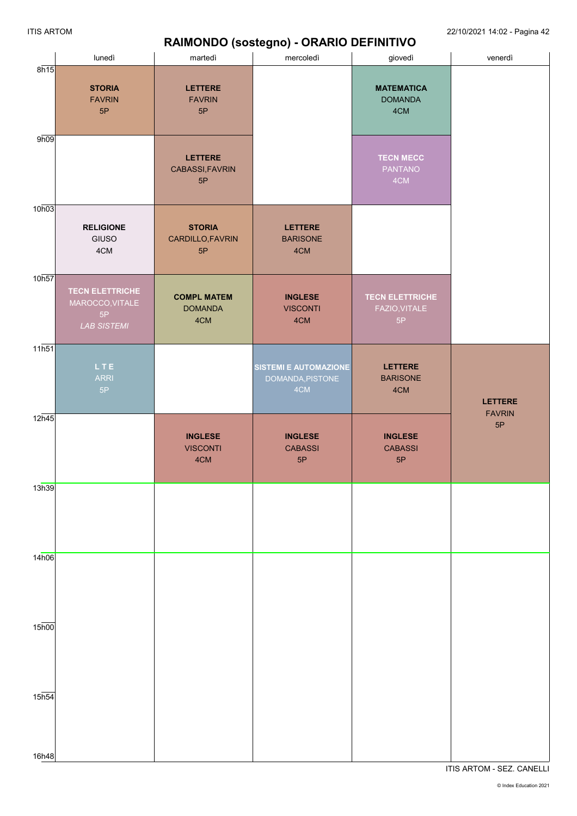#### ITIS ARTOM 22/10/2021 14:02 - Pagina 42

# **RAIMONDO (sostegno) - ORARIO DEFINITIVO**

|                    | lunedì                                                                | - 1-----<br>martedì                         | $\mathbf{r}$<br>mercoledì                        | giovedì                                       | venerdì             |
|--------------------|-----------------------------------------------------------------------|---------------------------------------------|--------------------------------------------------|-----------------------------------------------|---------------------|
| 8h15               | <b>STORIA</b><br><b>FAVRIN</b><br>5P                                  | <b>LETTERE</b><br><b>FAVRIN</b><br>5P       |                                                  | <b>MATEMATICA</b><br><b>DOMANDA</b><br>4CM    |                     |
| 9h09               |                                                                       | <b>LETTERE</b><br>CABASSI, FAVRIN<br>5P     |                                                  | <b>TECN MECC</b><br><b>PANTANO</b><br>4CM     |                     |
| 10h03              | <b>RELIGIONE</b><br>GIUSO<br>4CM                                      | <b>STORIA</b><br>CARDILLO, FAVRIN<br>5P     | <b>LETTERE</b><br><b>BARISONE</b><br>4CM         |                                               |                     |
| 10h57              | <b>TECN ELETTRICHE</b><br>MAROCCO, VITALE<br>5P<br><b>LAB SISTEMI</b> | <b>COMPL MATEM</b><br><b>DOMANDA</b><br>4CM | <b>INGLESE</b><br><b>VISCONTI</b><br>4CM         | <b>TECN ELETTRICHE</b><br>FAZIO, VITALE<br>5P |                     |
| $11\overline{h51}$ | LTE.<br><b>ARRI</b><br>5P                                             |                                             | SISTEMI E AUTOMAZIONE<br>DOMANDA, PISTONE<br>4CM | <b>LETTERE</b><br><b>BARISONE</b><br>4CM      | <b>LETTERE</b>      |
| 12h45              |                                                                       | <b>INGLESE</b><br><b>VISCONTI</b><br>4CM    | <b>INGLESE</b><br><b>CABASSI</b><br>5P           | <b>INGLESE</b><br><b>CABASSI</b><br>5P        | <b>FAVRIN</b><br>5P |
| 13h39              |                                                                       |                                             |                                                  |                                               |                     |
| 14h06              |                                                                       |                                             |                                                  |                                               |                     |
| $15\overline{h00}$ |                                                                       |                                             |                                                  |                                               |                     |
| $15\overline{h54}$ |                                                                       |                                             |                                                  |                                               |                     |
| 16h48              |                                                                       |                                             |                                                  |                                               |                     |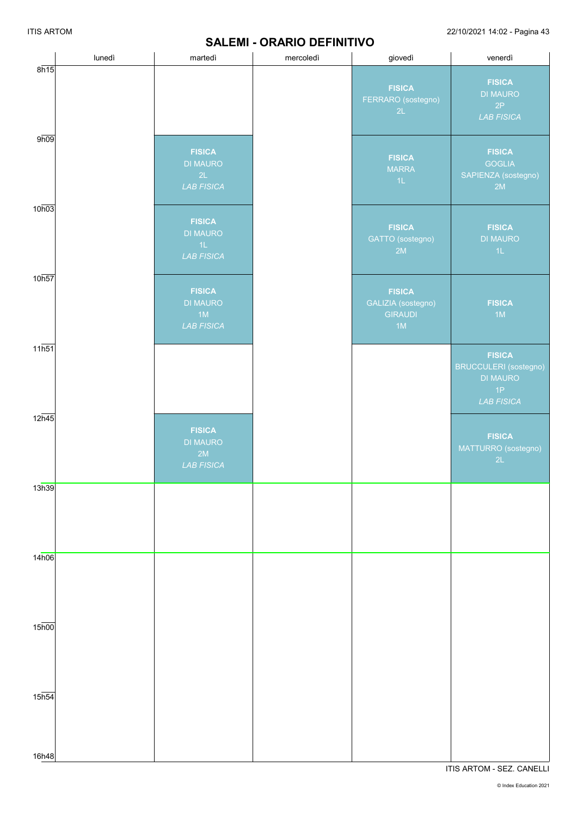#### **SALEMI - ORARIO DEFINITIVO**

ITIS ARTOM 22/10/2021 14:02 - Pagina 43

|                             | lunedì | martedì                                                     | mercoledì | giovedì                                                     | venerdì                                                                                     |
|-----------------------------|--------|-------------------------------------------------------------|-----------|-------------------------------------------------------------|---------------------------------------------------------------------------------------------|
| 8h15                        |        |                                                             |           | <b>FISICA</b><br>FERRARO (sostegno)<br>2L                   | <b>FISICA</b><br><b>DI MAURO</b><br>2P<br><b>LAB FISICA</b>                                 |
| 9h09                        |        | <b>FISICA</b><br><b>DI MAURO</b><br>2L<br><b>LAB FISICA</b> |           | <b>FISICA</b><br><b>MARRA</b><br>1L                         | <b>FISICA</b><br><b>GOGLIA</b><br>SAPIENZA (sostegno)<br>2M                                 |
| 10h03                       |        | <b>FISICA</b><br><b>DI MAURO</b><br>1L<br><b>LAB FISICA</b> |           | <b>FISICA</b><br>GATTO (sostegno)<br>2M                     | <b>FISICA</b><br><b>DI MAURO</b><br>$4\mathsf{L}$                                           |
| 10h57                       |        | <b>FISICA</b><br><b>DI MAURO</b><br>1M<br><b>LAB FISICA</b> |           | <b>FISICA</b><br>GALIZIA (sostegno)<br><b>GIRAUDI</b><br>1M | <b>FISICA</b><br>1M                                                                         |
| 11h51                       |        |                                                             |           |                                                             | <b>FISICA</b><br><b>BRUCCULERI</b> (sostegno)<br><b>DI MAURO</b><br>1P<br><b>LAB FISICA</b> |
| 12h45                       |        | <b>FISICA</b><br><b>DI MAURO</b><br>2M<br><b>LAB FISICA</b> |           |                                                             | <b>FISICA</b><br>MATTURRO (sostegno)<br>2L                                                  |
| 13h39                       |        |                                                             |           |                                                             |                                                                                             |
| 14h06                       |        |                                                             |           |                                                             |                                                                                             |
| $15\overline{h00}$          |        |                                                             |           |                                                             |                                                                                             |
| $15\overline{h54}$<br>16h48 |        |                                                             |           |                                                             |                                                                                             |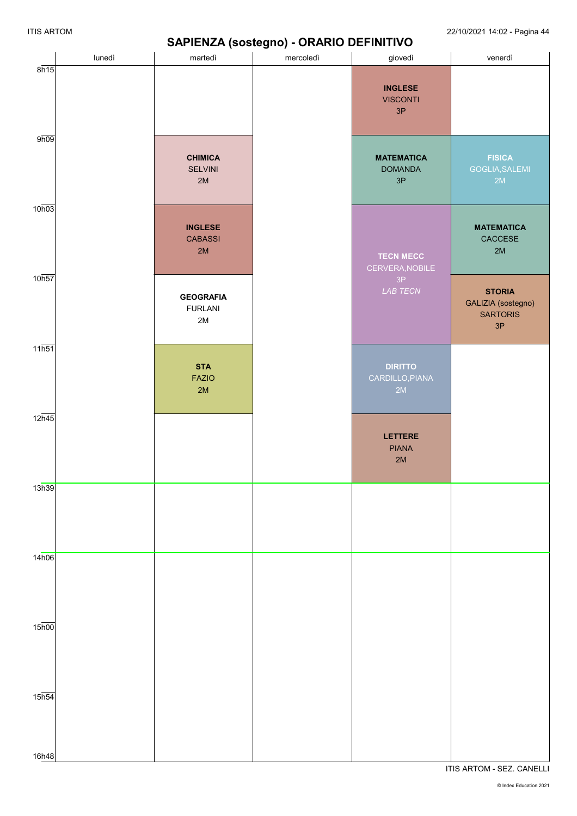### **SAPIENZA (sostegno) - ORARIO DEFINITIVO**

ITIS ARTOM 22/10/2021 14:02 - Pagina 44

|                                          |        |                                                     | $\sigma$  |                                           |                                                              |
|------------------------------------------|--------|-----------------------------------------------------|-----------|-------------------------------------------|--------------------------------------------------------------|
|                                          | lunedì | martedì                                             | mercoledì | giovedì                                   | venerdì                                                      |
| 8h15                                     |        |                                                     |           | <b>INGLESE</b><br><b>VISCONTI</b><br>3P   |                                                              |
| 9h09                                     |        | <b>CHIMICA</b><br><b>SELVINI</b><br>2M              |           | <b>MATEMATICA</b><br><b>DOMANDA</b><br>3P | <b>FISICA</b><br>GOGLIA, SALEMI<br>2M                        |
| 10h03                                    |        | <b>INGLESE</b><br><b>CABASSI</b><br>2M              |           | <b>TECN MECC</b><br>CERVERA, NOBILE       | <b>MATEMATICA</b><br>CACCESE<br>2M                           |
| 10h57                                    |        | <b>GEOGRAFIA</b><br><b>FURLANI</b><br>$2\mathsf{M}$ |           | 3P<br>LAB TECN                            | <b>STORIA</b><br>GALIZIA (sostegno)<br><b>SARTORIS</b><br>3P |
| 11h51                                    |        | <b>STA</b><br><b>FAZIO</b><br>2M                    |           | <b>DIRITTO</b><br>CARDILLO, PIANA<br>2M   |                                                              |
| 12h45                                    |        |                                                     |           | <b>LETTERE</b><br><b>PIANA</b><br>2M      |                                                              |
| 13h39                                    |        |                                                     |           |                                           |                                                              |
| 14h06                                    |        |                                                     |           |                                           |                                                              |
| $15\overline{h00}$<br>$15\overline{h54}$ |        |                                                     |           |                                           |                                                              |
| 16h48                                    |        |                                                     |           |                                           |                                                              |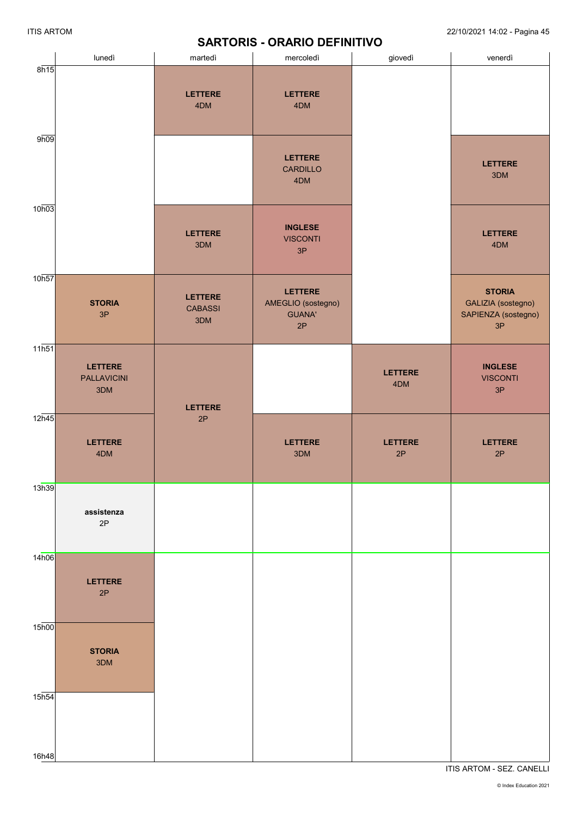|                    | lunedì                                      | martedì                                 | mercoledì                                            | giovedì               | venerdì                                                          |
|--------------------|---------------------------------------------|-----------------------------------------|------------------------------------------------------|-----------------------|------------------------------------------------------------------|
| 8h15               |                                             | <b>LETTERE</b><br>4DM                   | <b>LETTERE</b><br>4DM                                |                       |                                                                  |
| 9h09               |                                             |                                         | <b>LETTERE</b><br><b>CARDILLO</b><br>4DM             |                       | <b>LETTERE</b><br>3DM                                            |
| 10h03              |                                             | <b>LETTERE</b><br>3DM                   | <b>INGLESE</b><br><b>VISCONTI</b><br>3P              |                       | <b>LETTERE</b><br>4DM                                            |
| 10h57              | <b>STORIA</b><br>3P                         | <b>LETTERE</b><br><b>CABASSI</b><br>3DM | LETTERE<br>AMEGLIO (sostegno)<br><b>GUANA'</b><br>2P |                       | <b>STORIA</b><br>GALIZIA (sostegno)<br>SAPIENZA (sostegno)<br>3P |
| $11\overline{h51}$ | <b>LETTERE</b><br><b>PALLAVICINI</b><br>3DM | <b>LETTERE</b>                          |                                                      | <b>LETTERE</b><br>4DM | <b>INGLESE</b><br><b>VISCONTI</b><br>3P                          |
| 12h45              | <b>LETTERE</b><br>4DM                       | 2P                                      | LETTERE<br>3DM                                       | LETTERE<br>2P         | LETTERE<br>2P                                                    |
| 13h39              | assistenza<br>2P                            |                                         |                                                      |                       |                                                                  |
| 14h06              | <b>LETTERE</b><br>2P                        |                                         |                                                      |                       |                                                                  |
| 15 <sub>h00</sub>  | <b>STORIA</b><br>3DM                        |                                         |                                                      |                       |                                                                  |
| 15 <sub>h54</sub>  |                                             |                                         |                                                      |                       |                                                                  |
| 16h48              |                                             |                                         |                                                      |                       |                                                                  |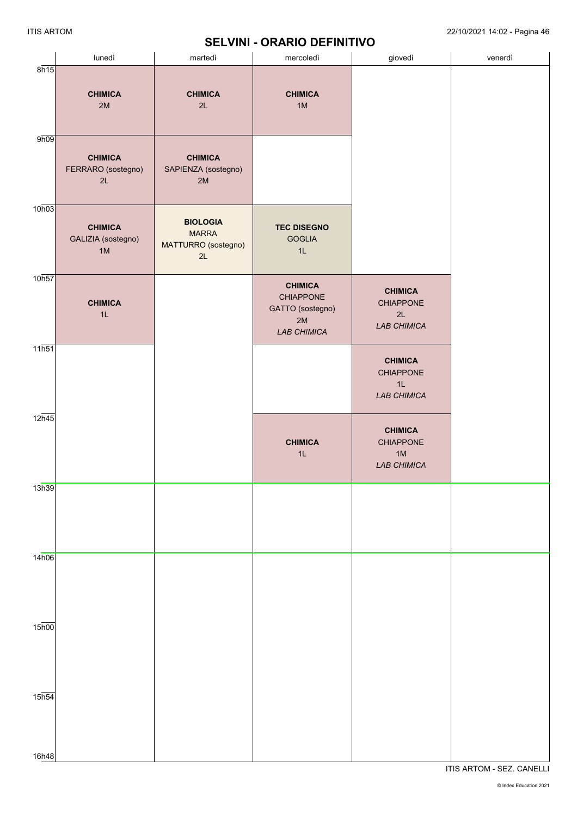# **SELVINI - ORARIO DEFINITIVO**

|                             | lunedì                                     | martedì                                                      | mercoledì                                                                          | giovedì                                                        | venerdì |
|-----------------------------|--------------------------------------------|--------------------------------------------------------------|------------------------------------------------------------------------------------|----------------------------------------------------------------|---------|
| 8h15                        | <b>CHIMICA</b><br>2M                       | <b>CHIMICA</b><br>2L                                         | <b>CHIMICA</b><br>1M                                                               |                                                                |         |
| 9h09                        | <b>CHIMICA</b><br>FERRARO (sostegno)<br>2L | <b>CHIMICA</b><br>SAPIENZA (sostegno)<br>2M                  |                                                                                    |                                                                |         |
| 10h03                       | <b>CHIMICA</b><br>GALIZIA (sostegno)<br>1M | <b>BIOLOGIA</b><br><b>MARRA</b><br>MATTURRO (sostegno)<br>2L | <b>TEC DISEGNO</b><br><b>GOGLIA</b><br>1L                                          |                                                                |         |
| 10h57                       | <b>CHIMICA</b><br>1L                       |                                                              | <b>CHIMICA</b><br><b>CHIAPPONE</b><br>GATTO (sostegno)<br>2M<br><b>LAB CHIMICA</b> | <b>CHIMICA</b><br>CHIAPPONE<br>2L<br><b>LAB CHIMICA</b>        |         |
| 11h51                       |                                            |                                                              |                                                                                    | <b>CHIMICA</b><br><b>CHIAPPONE</b><br>1L<br><b>LAB CHIMICA</b> |         |
| 12h45                       |                                            |                                                              | <b>CHIMICA</b><br>1L                                                               | <b>CHIMICA</b><br>CHIAPPONE<br>1M<br><b>LAB CHIMICA</b>        |         |
| 13h39                       |                                            |                                                              |                                                                                    |                                                                |         |
| 14h06                       |                                            |                                                              |                                                                                    |                                                                |         |
| $15\overline{h00}$          |                                            |                                                              |                                                                                    |                                                                |         |
| $15h\overline{54}$<br>16h48 |                                            |                                                              |                                                                                    |                                                                |         |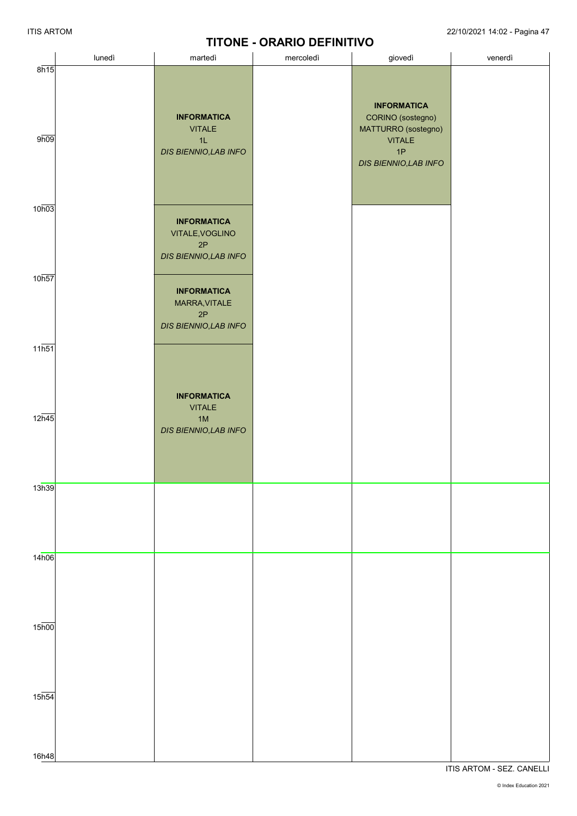# **TITONE - ORARIO DEFINITIVO**

|                    |        |                                                                      | <b>ITIUNE - URARIU DEFINITIVU</b> |                                                                |         |
|--------------------|--------|----------------------------------------------------------------------|-----------------------------------|----------------------------------------------------------------|---------|
|                    | lunedì | martedì                                                              | mercoledì                         | giovedì                                                        | venerdì |
| 8h15<br>9h09       |        | <b>INFORMATICA</b><br><b>VITALE</b><br>1L                            |                                   | <b>INFORMATICA</b><br>CORINO (sostegno)<br>MATTURRO (sostegno) |         |
| 10h03              |        | DIS BIENNIO, LAB INFO                                                |                                   | <b>VITALE</b><br>1P<br>DIS BIENNIO, LAB INFO                   |         |
| 10 <sub>h57</sub>  |        | <b>INFORMATICA</b><br>VITALE, VOGLINO<br>2P<br>DIS BIENNIO, LAB INFO |                                   |                                                                |         |
| $11\overline{h51}$ |        | <b>INFORMATICA</b><br>MARRA, VITALE<br>2P<br>DIS BIENNIO, LAB INFO   |                                   |                                                                |         |
| $12\overline{h45}$ |        | <b>INFORMATICA</b><br><b>VITALE</b><br>1M                            |                                   |                                                                |         |
| 13h39              |        | DIS BIENNIO, LAB INFO                                                |                                   |                                                                |         |
| 14h06              |        |                                                                      |                                   |                                                                |         |
| $15\overline{h00}$ |        |                                                                      |                                   |                                                                |         |
| $15\overline{h54}$ |        |                                                                      |                                   |                                                                |         |
| 16h48              |        |                                                                      |                                   |                                                                |         |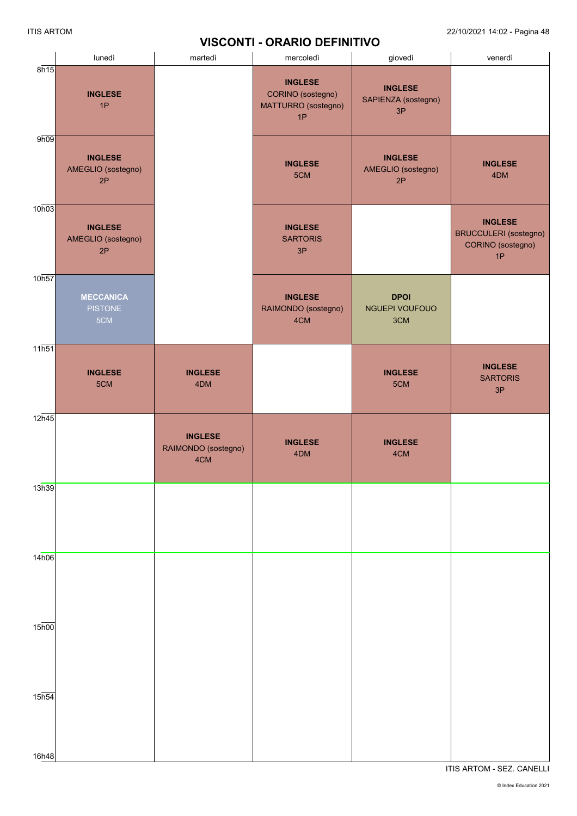#### **VISCONTI - ORARIO DEFINITIVO**

|                            | lunedì                                     | martedì                                      | mercoledì                                                        | giovedì                                     | venerdì                                                                   |
|----------------------------|--------------------------------------------|----------------------------------------------|------------------------------------------------------------------|---------------------------------------------|---------------------------------------------------------------------------|
| 8h15                       | <b>INGLESE</b><br>1P                       |                                              | <b>INGLESE</b><br>CORINO (sostegno)<br>MATTURRO (sostegno)<br>1P | <b>INGLESE</b><br>SAPIENZA (sostegno)<br>3P |                                                                           |
| 9h09                       | <b>INGLESE</b><br>AMEGLIO (sostegno)<br>2P |                                              | <b>INGLESE</b><br>5CM                                            | <b>INGLESE</b><br>AMEGLIO (sostegno)<br>2P  | <b>INGLESE</b><br>4DM                                                     |
| 10h03                      | <b>INGLESE</b><br>AMEGLIO (sostegno)<br>2P |                                              | <b>INGLESE</b><br><b>SARTORIS</b><br>3P                          |                                             | <b>INGLESE</b><br><b>BRUCCULERI</b> (sostegno)<br>CORINO (sostegno)<br>1P |
| 10h57                      | <b>MECCANICA</b><br><b>PISTONE</b><br>5CM  |                                              | <b>INGLESE</b><br>RAIMONDO (sostegno)<br>4CM                     | <b>DPOI</b><br>NGUEPI VOUFOUO<br>3CM        |                                                                           |
| 11h51                      | <b>INGLESE</b><br>5CM                      | <b>INGLESE</b><br>4DM                        |                                                                  | <b>INGLESE</b><br>5CM                       | <b>INGLESE</b><br><b>SARTORIS</b><br>3P                                   |
| 12h45                      |                                            | <b>INGLESE</b><br>RAIMONDO (sostegno)<br>4CM | <b>INGLESE</b><br>4DM                                            | <b>INGLESE</b><br>4CM                       |                                                                           |
| 13h39                      |                                            |                                              |                                                                  |                                             |                                                                           |
| 14h06                      |                                            |                                              |                                                                  |                                             |                                                                           |
| $15\overline{h00}$         |                                            |                                              |                                                                  |                                             |                                                                           |
| 15 <sub>h54</sub><br>16h48 |                                            |                                              |                                                                  |                                             |                                                                           |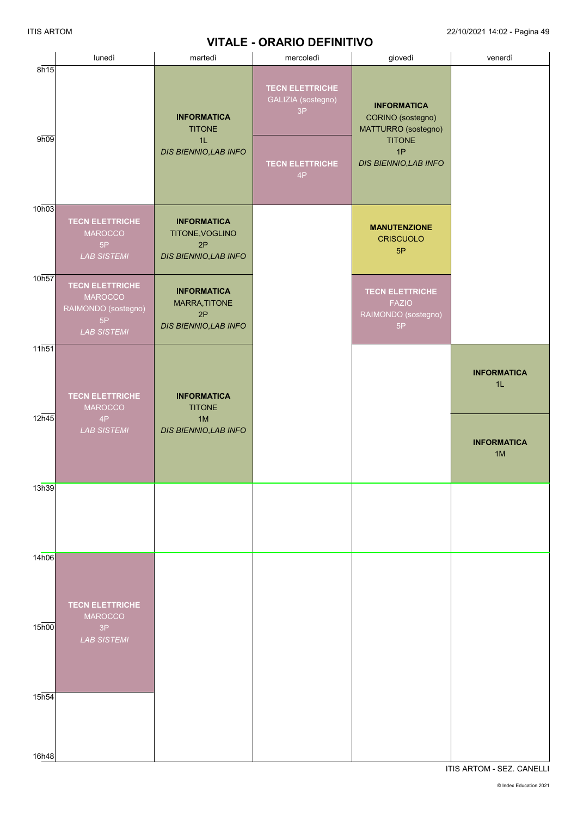# **VITALE - ORARIO DEFINITIVO**

|                   | lunedì                                                                                      | martedì                                                              | VIIALE - URARIU DEFINITIVU<br>mercoledì                                            | giovedì                                                                                                        | venerdì                  |
|-------------------|---------------------------------------------------------------------------------------------|----------------------------------------------------------------------|------------------------------------------------------------------------------------|----------------------------------------------------------------------------------------------------------------|--------------------------|
| 8h15<br>9h09      |                                                                                             | <b>INFORMATICA</b><br><b>TITONE</b><br>1L<br>DIS BIENNIO, LAB INFO   | <b>TECN ELETTRICHE</b><br>GALIZIA (sostegno)<br>3P<br><b>TECN ELETTRICHE</b><br>4P | <b>INFORMATICA</b><br>CORINO (sostegno)<br>MATTURRO (sostegno)<br><b>TITONE</b><br>1P<br>DIS BIENNIO, LAB INFO |                          |
| 10h03             | <b>TECN ELETTRICHE</b><br><b>MAROCCO</b><br>5P<br><b>LAB SISTEMI</b>                        | <b>INFORMATICA</b><br>TITONE, VOGLINO<br>2P<br>DIS BIENNIO, LAB INFO |                                                                                    | <b>MANUTENZIONE</b><br><b>CRISCUOLO</b><br>5P                                                                  |                          |
| 10h57             | <b>TECN ELETTRICHE</b><br><b>MAROCCO</b><br>RAIMONDO (sostegno)<br>5P<br><b>LAB SISTEMI</b> | <b>INFORMATICA</b><br>MARRA, TITONE<br>2P<br>DIS BIENNIO, LAB INFO   |                                                                                    | <b>TECN ELETTRICHE</b><br><b>FAZIO</b><br>RAIMONDO (sostegno)<br>$5\mathsf{P}$                                 |                          |
| 11h51             | <b>TECN ELETTRICHE</b><br><b>MAROCCO</b>                                                    | <b>INFORMATICA</b><br><b>TITONE</b>                                  |                                                                                    |                                                                                                                | <b>INFORMATICA</b><br>1L |
| 12h45             | 4P<br><b>LAB SISTEMI</b>                                                                    | 1M<br>DIS BIENNIO, LAB INFO                                          |                                                                                    |                                                                                                                | <b>INFORMATICA</b><br>1M |
| 13h39             |                                                                                             |                                                                      |                                                                                    |                                                                                                                |                          |
| 14h06             | <b>TECN ELETTRICHE</b><br><b>MAROCCO</b>                                                    |                                                                      |                                                                                    |                                                                                                                |                          |
| 15 <sub>h00</sub> | 3P<br><b>LAB SISTEMI</b>                                                                    |                                                                      |                                                                                    |                                                                                                                |                          |
| 15h54             |                                                                                             |                                                                      |                                                                                    |                                                                                                                |                          |
| 16h48             |                                                                                             |                                                                      |                                                                                    |                                                                                                                |                          |